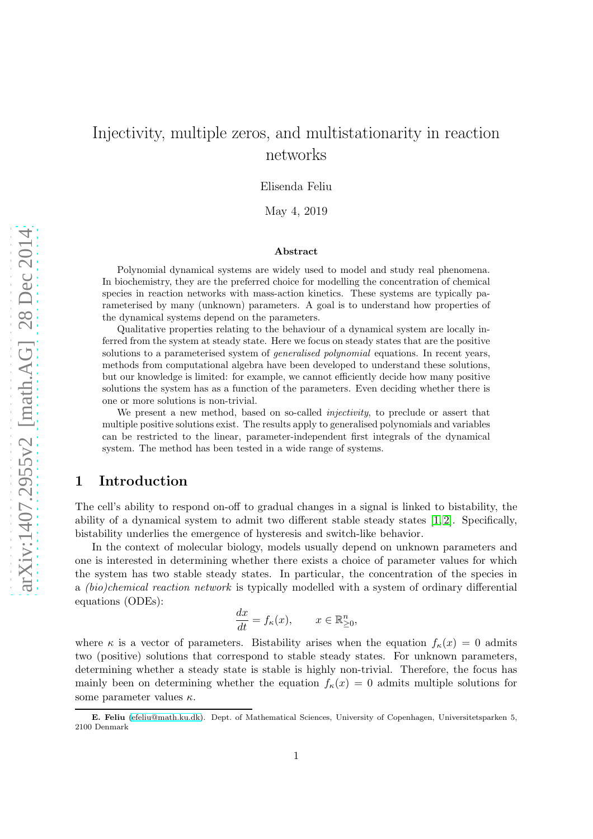# Injectivity, multiple zeros, and multistationarity in reaction networks

Elisenda Feliu

May 4, 2019

#### Abstract

Polynomial dynamical systems are widely used to model and study real phenomena. In biochemistry, they are the preferred choice for modelling the concentration of chemical species in reaction networks with mass-action kinetics. These systems are typically parameterised by many (unknown) parameters. A goal is to understand how properties of the dynamical systems depend on the parameters.

Qualitative properties relating to the behaviour of a dynamical system are locally inferred from the system at steady state. Here we focus on steady states that are the positive solutions to a parameterised system of generalised polynomial equations. In recent years, methods from computational algebra have been developed to understand these solutions, but our knowledge is limited: for example, we cannot efficiently decide how many positive solutions the system has as a function of the parameters. Even deciding whether there is one or more solutions is non-trivial.

We present a new method, based on so-called *injectivity*, to preclude or assert that multiple positive solutions exist. The results apply to generalised polynomials and variables can be restricted to the linear, parameter-independent first integrals of the dynamical system. The method has been tested in a wide range of systems.

# 1 Introduction

The cell's ability to respond on-off to gradual changes in a signal is linked to bistability, the ability of a dynamical system to admit two different stable steady states [\[1,](#page-17-0) [2\]](#page-17-1). Specifically, bistability underlies the emergence of hysteresis and switch-like behavior.

In the context of molecular biology, models usually depend on unknown parameters and one is interested in determining whether there exists a choice of parameter values for which the system has two stable steady states. In particular, the concentration of the species in a (bio)chemical reaction network is typically modelled with a system of ordinary differential equations (ODEs):

$$
\frac{dx}{dt} = f_{\kappa}(x), \qquad x \in \mathbb{R}^n_{\geq 0},
$$

where  $\kappa$  is a vector of parameters. Bistability arises when the equation  $f_{\kappa}(x) = 0$  admits two (positive) solutions that correspond to stable steady states. For unknown parameters, determining whether a steady state is stable is highly non-trivial. Therefore, the focus has mainly been on determining whether the equation  $f_{\kappa}(x) = 0$  admits multiple solutions for some parameter values  $\kappa$ .

E. Feliu [\(efeliu@math.ku.dk\)](efeliu@math.ku.dk). Dept. of Mathematical Sciences, University of Copenhagen, Universitetsparken 5, 2100 Denmark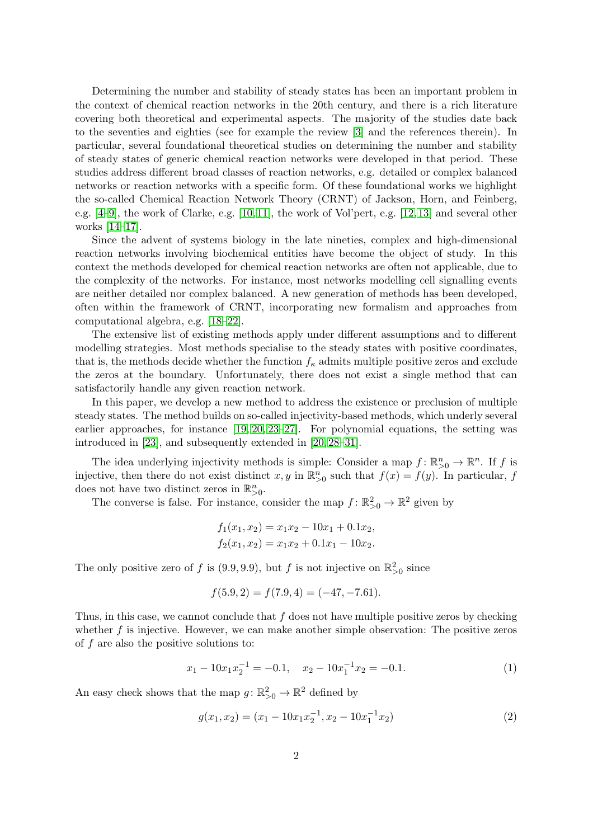Determining the number and stability of steady states has been an important problem in the context of chemical reaction networks in the 20th century, and there is a rich literature covering both theoretical and experimental aspects. The majority of the studies date back to the seventies and eighties (see for example the review [\[3\]](#page-17-2) and the references therein). In particular, several foundational theoretical studies on determining the number and stability of steady states of generic chemical reaction networks were developed in that period. These studies address different broad classes of reaction networks, e.g. detailed or complex balanced networks or reaction networks with a specific form. Of these foundational works we highlight the so-called Chemical Reaction Network Theory (CRNT) of Jackson, Horn, and Feinberg, e.g. [\[4](#page-17-3)[–9\]](#page-17-4), the work of Clarke, e.g. [\[10,](#page-17-5) [11\]](#page-17-6), the work of Vol'pert, e.g. [\[12,](#page-17-7) [13\]](#page-17-8) and several other works [\[14–](#page-17-9)[17\]](#page-17-10).

Since the advent of systems biology in the late nineties, complex and high-dimensional reaction networks involving biochemical entities have become the object of study. In this context the methods developed for chemical reaction networks are often not applicable, due to the complexity of the networks. For instance, most networks modelling cell signalling events are neither detailed nor complex balanced. A new generation of methods has been developed, often within the framework of CRNT, incorporating new formalism and approaches from computational algebra, e.g. [\[18–](#page-17-11)[22\]](#page-18-0).

The extensive list of existing methods apply under different assumptions and to different modelling strategies. Most methods specialise to the steady states with positive coordinates, that is, the methods decide whether the function  $f_{\kappa}$  admits multiple positive zeros and exclude the zeros at the boundary. Unfortunately, there does not exist a single method that can satisfactorily handle any given reaction network.

In this paper, we develop a new method to address the existence or preclusion of multiple steady states. The method builds on so-called injectivity-based methods, which underly several earlier approaches, for instance [\[19,](#page-17-12) [20,](#page-17-13) [23–](#page-18-1)[27\]](#page-18-2). For polynomial equations, the setting was introduced in [\[23\]](#page-18-1), and subsequently extended in [\[20,](#page-17-13) [28–](#page-18-3)[31\]](#page-18-4).

The idea underlying injectivity methods is simple: Consider a map  $f: \mathbb{R}^n_{>0} \to \mathbb{R}^n$ . If f is injective, then there do not exist distinct x, y in  $\mathbb{R}^n_{>0}$  such that  $f(x) = f(y)$ . In particular, f does not have two distinct zeros in  $\mathbb{R}^n_{>0}$ .

The converse is false. For instance, consider the map  $f: \mathbb{R}^2_{>0} \to \mathbb{R}^2$  given by

$$
f_1(x_1, x_2) = x_1x_2 - 10x_1 + 0.1x_2,
$$
  

$$
f_2(x_1, x_2) = x_1x_2 + 0.1x_1 - 10x_2.
$$

The only positive zero of f is (9.9, 9.9), but f is not injective on  $\mathbb{R}^2_{>0}$  since

<span id="page-1-0"></span>
$$
f(5.9, 2) = f(7.9, 4) = (-47, -7.61).
$$

Thus, in this case, we cannot conclude that  $f$  does not have multiple positive zeros by checking whether  $f$  is injective. However, we can make another simple observation: The positive zeros of f are also the positive solutions to:

$$
x_1 - 10x_1x_2^{-1} = -0.1, \quad x_2 - 10x_1^{-1}x_2 = -0.1. \tag{1}
$$

An easy check shows that the map  $g: \mathbb{R}^2_{>0} \to \mathbb{R}^2$  defined by

<span id="page-1-1"></span>
$$
g(x_1, x_2) = (x_1 - 10x_1x_2^{-1}, x_2 - 10x_1^{-1}x_2)
$$
\n(2)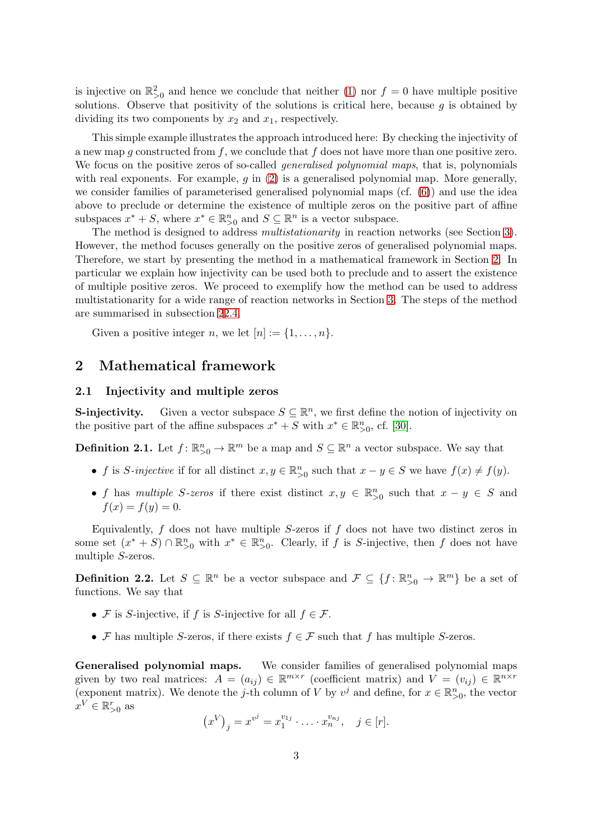is injective on  $\mathbb{R}^2_{>0}$  and hence we conclude that neither [\(1\)](#page-1-0) nor  $f=0$  have multiple positive solutions. Observe that positivity of the solutions is critical here, because  $q$  is obtained by dividing its two components by  $x_2$  and  $x_1$ , respectively.

This simple example illustrates the approach introduced here: By checking the injectivity of a new map q constructed from f, we conclude that f does not have more than one positive zero. We focus on the positive zeros of so-called *generalised polynomial maps*, that is, polynomials with real exponents. For example,  $q$  in  $(2)$  is a generalised polynomial map. More generally, we consider families of parameterised generalised polynomial maps (cf. [\(6\)](#page-3-0)) and use the idea above to preclude or determine the existence of multiple zeros on the positive part of affine subspaces  $x^* + S$ , where  $x^* \in \mathbb{R}_{>0}^n$  and  $S \subseteq \mathbb{R}^n$  is a vector subspace.

The method is designed to address multistationarity in reaction networks (see Section [3\)](#page-10-0). However, the method focuses generally on the positive zeros of generalised polynomial maps. Therefore, we start by presenting the method in a mathematical framework in Section [2.](#page-2-0) In particular we explain how injectivity can be used both to preclude and to assert the existence of multiple positive zeros. We proceed to exemplify how the method can be used to address multistationarity for a wide range of reaction networks in Section [3.](#page-10-0) The steps of the method are summarised in subsection [2](#page-2-0)[2.4.](#page-10-1)

Given a positive integer n, we let  $[n] := \{1, \ldots, n\}.$ 

# <span id="page-2-0"></span>2 Mathematical framework

## 2.1 Injectivity and multiple zeros

**S-injectivity.** Given a vector subspace  $S \subseteq \mathbb{R}^n$ , we first define the notion of injectivity on the positive part of the affine subspaces  $x^* + S$  with  $x^* \in \mathbb{R}_{>0}^n$ , cf. [\[30\]](#page-18-5).

**Definition 2.1.** Let  $f: \mathbb{R}_{>0}^n \to \mathbb{R}^m$  be a map and  $S \subseteq \mathbb{R}^n$  a vector subspace. We say that

- f is S-injective if for all distinct  $x, y \in \mathbb{R}_{\geq 0}^n$  such that  $x y \in S$  we have  $f(x) \neq f(y)$ .
- f has multiple S-zeros if there exist distinct  $x, y \in \mathbb{R}_{\geq 0}^n$  such that  $x y \in S$  and  $f(x) = f(y) = 0.$

Equivalently,  $f$  does not have multiple  $S$ -zeros if  $f$  does not have two distinct zeros in some set  $(x^* + S) \cap \mathbb{R}_{>0}^n$  with  $x^* \in \mathbb{R}_{>0}^n$ . Clearly, if f is S-injective, then f does not have multiple S-zeros.

**Definition 2.2.** Let  $S \subseteq \mathbb{R}^n$  be a vector subspace and  $\mathcal{F} \subseteq \{f : \mathbb{R}^n_{>0} \to \mathbb{R}^m\}$  be a set of functions. We say that

- F is S-injective, if f is S-injective for all  $f \in \mathcal{F}$ .
- F has multiple S-zeros, if there exists  $f \in \mathcal{F}$  such that f has multiple S-zeros.

Generalised polynomial maps. We consider families of generalised polynomial maps given by two real matrices:  $A = (a_{ij}) \in \mathbb{R}^{m \times r}$  (coefficient matrix) and  $V = (v_{ij}) \in \mathbb{R}^{n \times r}$ (exponent matrix). We denote the j-th column of V by  $v^j$  and define, for  $x \in \mathbb{R}_{>0}^n$ , the vector  $x^V \in \mathbb{R}^r_{>0}$  as

$$
(x^V)_j = x^{v^j} = x_1^{v_{1j}} \cdot \ldots \cdot x_n^{v_{nj}}, \quad j \in [r].
$$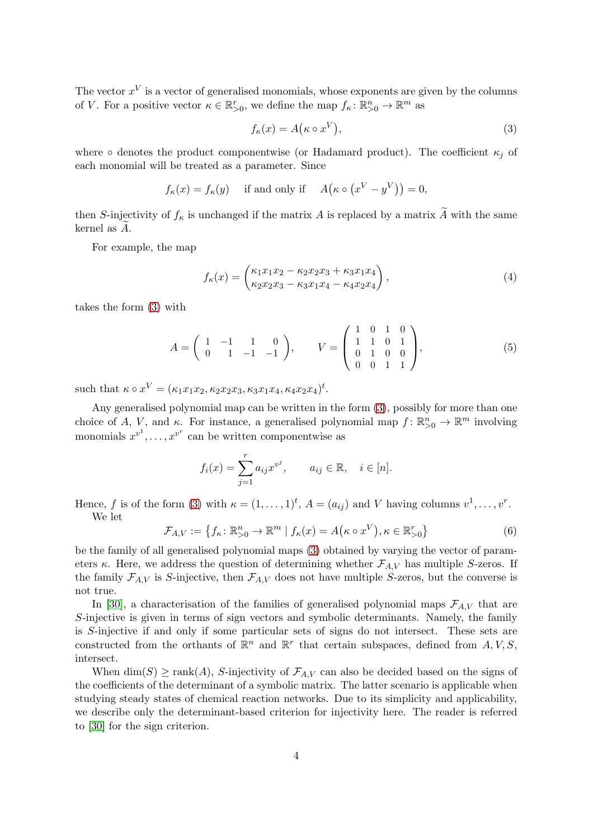The vector  $x^V$  is a vector of generalised monomials, whose exponents are given by the columns of V. For a positive vector  $\kappa \in \mathbb{R}_{>0}^r$ , we define the map  $f_{\kappa} : \mathbb{R}_{>0}^n \to \mathbb{R}^m$  as

<span id="page-3-1"></span>
$$
f_{\kappa}(x) = A(\kappa \circ x^V), \tag{3}
$$

where  $\circ$  denotes the product componentwise (or Hadamard product). The coefficient  $\kappa_i$  of each monomial will be treated as a parameter. Since

$$
f_{\kappa}(x) = f_{\kappa}(y)
$$
 if and only if  $A(\kappa \circ (x^V - y^V)) = 0$ ,

then S-injectivity of  $f_{\kappa}$  is unchanged if the matrix A is replaced by a matrix  $\widetilde{A}$  with the same kernel as  $A$ .

For example, the map

$$
f_{\kappa}(x) = \begin{pmatrix} \kappa_1 x_1 x_2 - \kappa_2 x_2 x_3 + \kappa_3 x_1 x_4 \\ \kappa_2 x_2 x_3 - \kappa_3 x_1 x_4 - \kappa_4 x_2 x_4 \end{pmatrix},
$$
\n(4)

takes the form [\(3\)](#page-3-1) with

<span id="page-3-2"></span>
$$
A = \begin{pmatrix} 1 & -1 & 1 & 0 \\ 0 & 1 & -1 & -1 \end{pmatrix}, \qquad V = \begin{pmatrix} 1 & 0 & 1 & 0 \\ 1 & 1 & 0 & 1 \\ 0 & 1 & 0 & 0 \\ 0 & 0 & 1 & 1 \end{pmatrix}, \tag{5}
$$

such that  $\kappa \circ x^V = (\kappa_1 x_1 x_2, \kappa_2 x_2 x_3, \kappa_3 x_1 x_4, \kappa_4 x_2 x_4)^t$ .

Any generalised polynomial map can be written in the form [\(3\)](#page-3-1), possibly for more than one choice of A, V, and  $\kappa$ . For instance, a generalised polynomial map  $f: \mathbb{R}^n_{>0} \to \mathbb{R}^m$  involving monomials  $x^{v^1}, \ldots, x^{v^r}$  can be written componentwise as

$$
f_i(x) = \sum_{j=1}^r a_{ij} x^{v^j}, \qquad a_{ij} \in \mathbb{R}, \quad i \in [n].
$$

Hence, f is of the form [\(3\)](#page-3-1) with  $\kappa = (1, \ldots, 1)^t$ ,  $A = (a_{ij})$  and V having columns  $v^1, \ldots, v^r$ . We let

<span id="page-3-0"></span>
$$
\mathcal{F}_{A,V} := \left\{ f_{\kappa} \colon \mathbb{R}^n_{>0} \to \mathbb{R}^m \mid f_{\kappa}(x) = A(\kappa \circ x^V), \kappa \in \mathbb{R}^r_{>0} \right\}
$$
(6)

be the family of all generalised polynomial maps [\(3\)](#page-3-1) obtained by varying the vector of parameters κ. Here, we address the question of determining whether  $\mathcal{F}_{A,V}$  has multiple S-zeros. If the family  $\mathcal{F}_{A,V}$  is S-injective, then  $\mathcal{F}_{A,V}$  does not have multiple S-zeros, but the converse is not true.

In [\[30\]](#page-18-5), a characterisation of the families of generalised polynomial maps  $\mathcal{F}_{A,V}$  that are S-injective is given in terms of sign vectors and symbolic determinants. Namely, the family is S-injective if and only if some particular sets of signs do not intersect. These sets are constructed from the orthants of  $\mathbb{R}^n$  and  $\mathbb{R}^r$  that certain subspaces, defined from  $A, V, S$ , intersect.

When  $\dim(S) \ge \text{rank}(A)$ , S-injectivity of  $\mathcal{F}_{A,V}$  can also be decided based on the signs of the coefficients of the determinant of a symbolic matrix. The latter scenario is applicable when studying steady states of chemical reaction networks. Due to its simplicity and applicability, we describe only the determinant-based criterion for injectivity here. The reader is referred to [\[30\]](#page-18-5) for the sign criterion.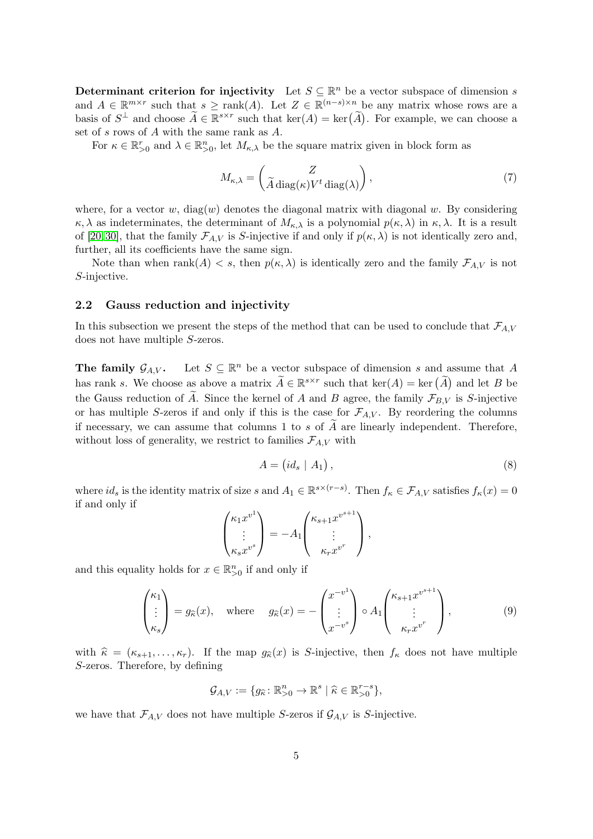Determinant criterion for injectivity Let  $S \subseteq \mathbb{R}^n$  be a vector subspace of dimension s and  $A \in \mathbb{R}^{m \times r}$  such that  $s \ge \text{rank}(A)$ . Let  $Z \in \mathbb{R}^{(n-s)\times n}$  be any matrix whose rows are a basis of  $S^{\perp}$  and choose  $\widetilde{A} \in \mathbb{R}^{s \times r}$  such that  $\ker(A) = \ker(\widetilde{A})$ . For example, we can choose a set of s rows of A with the same rank as A.

For  $\kappa \in \mathbb{R}_{>0}^r$  and  $\lambda \in \mathbb{R}_{>0}^n$ , let  $M_{\kappa,\lambda}$  be the square matrix given in block form as

<span id="page-4-2"></span>
$$
M_{\kappa,\lambda} = \begin{pmatrix} Z \\ \widetilde{A} \operatorname{diag}(\kappa) V^t \operatorname{diag}(\lambda) \end{pmatrix},\tag{7}
$$

where, for a vector w,  $diag(w)$  denotes the diagonal matrix with diagonal w. By considering  $\kappa, \lambda$  as indeterminates, the determinant of  $M_{\kappa,\lambda}$  is a polynomial  $p(\kappa, \lambda)$  in  $\kappa, \lambda$ . It is a result of [\[20,](#page-17-13)30], that the family  $\mathcal{F}_{A,V}$  is S-injective if and only if  $p(\kappa, \lambda)$  is not identically zero and, further, all its coefficients have the same sign.

Note than when rank(A)  $\lt s$ , then  $p(\kappa, \lambda)$  is identically zero and the family  $\mathcal{F}_{A,V}$  is not S-injective.

### <span id="page-4-3"></span>2.2 Gauss reduction and injectivity

In this subsection we present the steps of the method that can be used to conclude that  $\mathcal{F}_{A,V}$ does not have multiple S-zeros.

**The family**  $\mathcal{G}_{A,V}$ **.** Let  $S \subseteq \mathbb{R}^n$  be a vector subspace of dimension s and assume that A has rank s. We choose as above a matrix  $\widetilde{A} \in \mathbb{R}^{s \times r}$  such that  $\ker(A) = \ker(\widetilde{A})$  and let B be the Gauss reduction of  $\widetilde{A}$ . Since the kernel of A and B agree, the family  $\mathcal{F}_{BV}$  is S-injective or has multiple S-zeros if and only if this is the case for  $\mathcal{F}_{A,V}$ . By reordering the columns if necessary, we can assume that columns 1 to s of  $\tilde{A}$  are linearly independent. Therefore, without loss of generality, we restrict to families  $\mathcal{F}_{A,V}$  with

<span id="page-4-1"></span>
$$
A = \left(id_s \mid A_1\right),\tag{8}
$$

where  $id_s$  is the identity matrix of size s and  $A_1 \in \mathbb{R}^{s \times (r-s)}$ . Then  $f_{\kappa} \in \mathcal{F}_{A,V}$  satisfies  $f_{\kappa}(x) = 0$ if and only if

<span id="page-4-0"></span>
$$
\begin{pmatrix} \kappa_1 x^{v^1} \\ \vdots \\ \kappa_s x^{v^s} \end{pmatrix} = -A_1 \begin{pmatrix} \kappa_{s+1} x^{v^{s+1}} \\ \vdots \\ \kappa_r x^{v^r} \end{pmatrix},
$$

and this equality holds for  $x \in \mathbb{R}^n_{>0}$  if and only if

$$
\begin{pmatrix} \kappa_1 \\ \vdots \\ \kappa_s \end{pmatrix} = g_{\widehat{\kappa}}(x), \quad \text{where} \quad g_{\widehat{\kappa}}(x) = -\begin{pmatrix} x^{-v^1} \\ \vdots \\ x^{-v^s} \end{pmatrix} \circ A_1 \begin{pmatrix} \kappa_{s+1} x^{v^{s+1}} \\ \vdots \\ \kappa_r x^{v^r} \end{pmatrix}, \tag{9}
$$

with  $\hat{\kappa} = (\kappa_{s+1}, \ldots, \kappa_r)$ . If the map  $g_{\hat{\kappa}}(x)$  is S-injective, then  $f_{\kappa}$  does not have multiple S-zeros. Therefore, by defining

$$
\mathcal{G}_{A,V} := \{ g_{\widehat{\kappa}} \colon \mathbb{R}^n_{>0} \to \mathbb{R}^s \mid \widehat{\kappa} \in \mathbb{R}^{r-s}_{>0} \},\
$$

we have that  $\mathcal{F}_{A,V}$  does not have multiple S-zeros if  $\mathcal{G}_{A,V}$  is S-injective.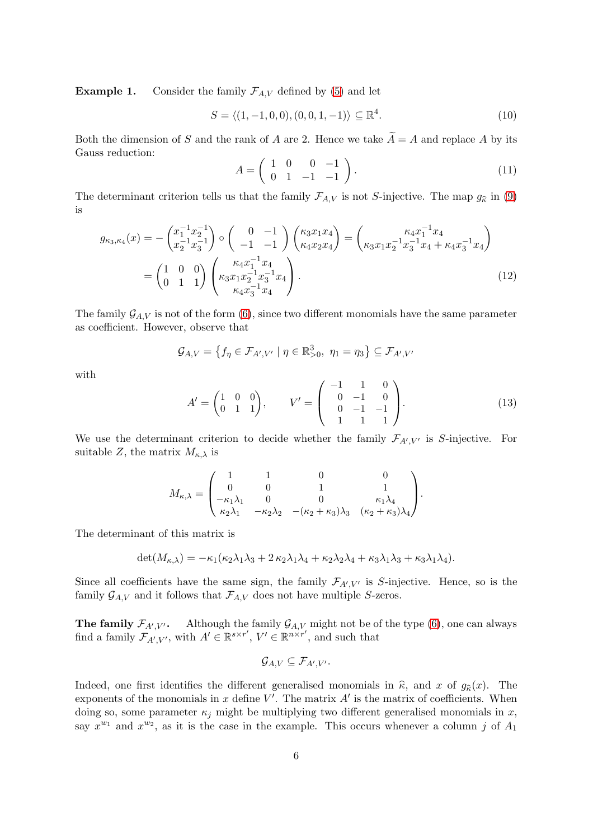**Example 1.** Consider the family  $\mathcal{F}_{A,V}$  defined by [\(5\)](#page-3-2) and let

<span id="page-5-0"></span>
$$
S = \langle (1, -1, 0, 0), (0, 0, 1, -1) \rangle \subseteq \mathbb{R}^4.
$$
 (10)

Both the dimension of S and the rank of A are 2. Hence we take  $\widetilde{A} = A$  and replace A by its Gauss reduction:

<span id="page-5-3"></span><span id="page-5-1"></span>
$$
A = \left(\begin{array}{cccc} 1 & 0 & 0 & -1 \\ 0 & 1 & -1 & -1 \end{array}\right). \tag{11}
$$

The determinant criterion tells us that the family  $\mathcal{F}_{A,V}$  is not S-injective. The map  $g_{\hat{\kappa}}$  in [\(9\)](#page-4-0) is

$$
g_{\kappa_3,\kappa_4}(x) = -\begin{pmatrix} x_1^{-1}x_2^{-1} \\ x_2^{-1}x_3^{-1} \end{pmatrix} \circ \begin{pmatrix} 0 & -1 \\ -1 & -1 \end{pmatrix} \begin{pmatrix} \kappa_3 x_1 x_4 \\ \kappa_4 x_2 x_4 \end{pmatrix} = \begin{pmatrix} \kappa_4 x_1^{-1} x_4 \\ \kappa_3 x_1 x_2^{-1} x_3^{-1} x_4 + \kappa_4 x_3^{-1} x_4 \end{pmatrix}
$$

$$
= \begin{pmatrix} 1 & 0 & 0 \\ 0 & 1 & 1 \end{pmatrix} \begin{pmatrix} \kappa_4 x_1^{-1} x_4 \\ \kappa_3 x_1 x_2^{-1} x_3^{-1} x_4 \\ \kappa_4 x_3^{-1} x_4 \end{pmatrix} . \tag{12}
$$

The family  $\mathcal{G}_{A,V}$  is not of the form [\(6\)](#page-3-0), since two different monomials have the same parameter as coefficient. However, observe that

$$
\mathcal{G}_{A,V} = \left\{ f_{\eta} \in \mathcal{F}_{A',V'} \mid \eta \in \mathbb{R}^3_{>0}, \eta_1 = \eta_3 \right\} \subseteq \mathcal{F}_{A',V'}
$$

<span id="page-5-2"></span>with

$$
A' = \begin{pmatrix} 1 & 0 & 0 \\ 0 & 1 & 1 \end{pmatrix}, \qquad V' = \begin{pmatrix} -1 & 1 & 0 \\ 0 & -1 & 0 \\ 0 & -1 & -1 \\ 1 & 1 & 1 \end{pmatrix}.
$$
 (13)

We use the determinant criterion to decide whether the family  $\mathcal{F}_{A',V'}$  is S-injective. For suitable Z, the matrix  $M_{\kappa,\lambda}$  is

$$
M_{\kappa,\lambda} = \begin{pmatrix} 1 & 1 & 0 & 0 \\ 0 & 0 & 1 & 1 \\ -\kappa_1 \lambda_1 & 0 & 0 & \kappa_1 \lambda_4 \\ \kappa_2 \lambda_1 & -\kappa_2 \lambda_2 & -(\kappa_2 + \kappa_3) \lambda_3 & (\kappa_2 + \kappa_3) \lambda_4 \end{pmatrix}.
$$

The determinant of this matrix is

$$
\det(M_{\kappa,\lambda}) = -\kappa_1(\kappa_2\lambda_1\lambda_3 + 2\kappa_2\lambda_1\lambda_4 + \kappa_2\lambda_2\lambda_4 + \kappa_3\lambda_1\lambda_3 + \kappa_3\lambda_1\lambda_4).
$$

Since all coefficients have the same sign, the family  $\mathcal{F}_{A',V'}$  is S-injective. Hence, so is the family  $\mathcal{G}_{A,V}$  and it follows that  $\mathcal{F}_{A,V}$  does not have multiple S-zeros.

**The family**  $\mathcal{F}_{A',V'}$ . Although the family  $\mathcal{G}_{A,V}$  might not be of the type [\(6\)](#page-3-0), one can always find a family  $\mathcal{F}_{A',V'}$ , with  $A' \in \mathbb{R}^{s \times r'}$ ,  $V' \in \mathbb{R}^{n \times r'}$ , and such that

$$
\mathcal{G}_{A,V}\subseteq \mathcal{F}_{A',V'}.
$$

Indeed, one first identifies the different generalised monomials in  $\hat{\kappa}$ , and x of  $g_{\hat{\kappa}}(x)$ . The exponents of the monomials in  $x$  define  $V'$ . The matrix  $A'$  is the matrix of coefficients. When doing so, some parameter  $\kappa_i$  might be multiplying two different generalised monomials in x, say  $x^{w_1}$  and  $x^{w_2}$ , as it is the case in the example. This occurs whenever a column j of  $A_1$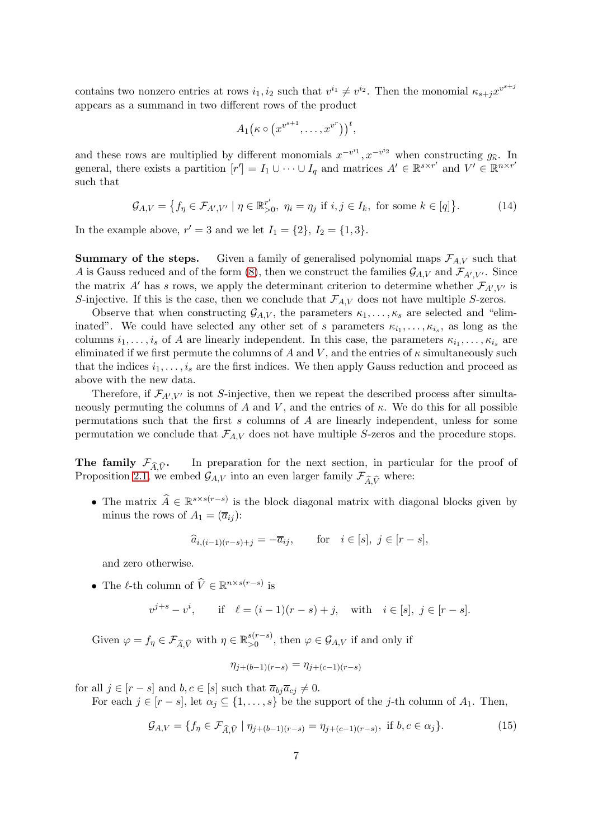contains two nonzero entries at rows  $i_1, i_2$  such that  $v^{i_1} \neq v^{i_2}$ . Then the monomial  $\kappa_{s+j}x^{v^{s+j}}$ appears as a summand in two different rows of the product

$$
A_1(\kappa \circ (x^{v^{s+1}}, \ldots, x^{v^r}))^t,
$$

and these rows are multiplied by different monomials  $x^{-v^{i_1}}, x^{-v^{i_2}}$  when constructing  $g_{\hat{\kappa}}$ . In general, there exists a partition  $[r'] = I_1 \cup \cdots \cup I_q$  and matrices  $A' \in \mathbb{R}^{s \times r'}$  and  $V' \in \mathbb{R}^{n \times r'}$ such that

$$
\mathcal{G}_{A,V} = \left\{ f_{\eta} \in \mathcal{F}_{A',V'} \mid \eta \in \mathbb{R}_{>0}^{r'}, \ \eta_i = \eta_j \text{ if } i,j \in I_k, \text{ for some } k \in [q] \right\}.
$$
 (14)

In the example above,  $r' = 3$  and we let  $I_1 = \{2\}, I_2 = \{1, 3\}.$ 

**Summary of the steps.** Given a family of generalised polynomial maps  $\mathcal{F}_{A,V}$  such that A is Gauss reduced and of the form [\(8\)](#page-4-1), then we construct the families  $\mathcal{G}_{A,V}$  and  $\mathcal{F}_{A',V'}$ . Since the matrix A' has s rows, we apply the determinant criterion to determine whether  $\mathcal{F}_{A',V'}$  is S-injective. If this is the case, then we conclude that  $\mathcal{F}_{A,V}$  does not have multiple S-zeros.

Observe that when constructing  $\mathcal{G}_{A,V}$ , the parameters  $\kappa_1, \ldots, \kappa_s$  are selected and "eliminated". We could have selected any other set of s parameters  $\kappa_{i_1}, \ldots, \kappa_{i_s}$ , as long as the columns  $i_1, \ldots, i_s$  of A are linearly independent. In this case, the parameters  $\kappa_{i_1}, \ldots, \kappa_{i_s}$  are eliminated if we first permute the columns of A and V, and the entries of  $\kappa$  simultaneously such that the indices  $i_1, \ldots, i_s$  are the first indices. We then apply Gauss reduction and proceed as above with the new data.

Therefore, if  $\mathcal{F}_{A',V'}$  is not S-injective, then we repeat the described process after simultaneously permuting the columns of A and V, and the entries of  $\kappa$ . We do this for all possible permutations such that the first s columns of A are linearly independent, unless for some permutation we conclude that  $\mathcal{F}_{A,V}$  does not have multiple S-zeros and the procedure stops.

**The family**  $\mathcal{F}_{\widehat{A}, \widehat{V}}$ **.** In preparation for the next section, in particular for the proof of Proposition [2.1,](#page-8-0) we embed  $\mathcal{G}_{A,V}$  into an even larger family  $\mathcal{F}_{\widehat{A}\widehat{V}}$  where:

• The matrix  $\widehat{A} \in \mathbb{R}^{s \times s(r-s)}$  is the block diagonal matrix with diagonal blocks given by minus the rows of  $A_1 = (\overline{a}_{ij})$ :

$$
\widehat{a}_{i,(i-1)(r-s)+j} = -\overline{a}_{ij}, \qquad \text{for} \quad i \in [s], \ j \in [r-s],
$$

and zero otherwise.

• The  $\ell$ -th column of  $\widehat{V} \in \mathbb{R}^{n \times s(r-s)}$  is

$$
v^{j+s} - v^i
$$
, if  $\ell = (i-1)(r-s) + j$ , with  $i \in [s], j \in [r-s]$ .

Given  $\varphi = f_{\eta} \in \mathcal{F}_{\widehat{A}, \widehat{V}}$  with  $\eta \in \mathbb{R}_{>0}^{s(r-s)}$  $\zeta_{>0}^{(r-s)}$ , then  $\varphi \in \mathcal{G}_{A,V}$  if and only if

<span id="page-6-0"></span>
$$
\eta_{j+(b-1)(r-s)} = \eta_{j+(c-1)(r-s)}
$$

for all  $j \in [r-s]$  and  $b, c \in [s]$  such that  $\overline{a}_{bj}\overline{a}_{cj} \neq 0$ .

For each  $j \in [r-s]$ , let  $\alpha_j \subseteq \{1, \ldots, s\}$  be the support of the j-th column of  $A_1$ . Then,

$$
\mathcal{G}_{A,V} = \{ f_{\eta} \in \mathcal{F}_{\widehat{A},\widehat{V}} \mid \eta_{j+(b-1)(r-s)} = \eta_{j+(c-1)(r-s)}, \text{ if } b, c \in \alpha_j \}. \tag{15}
$$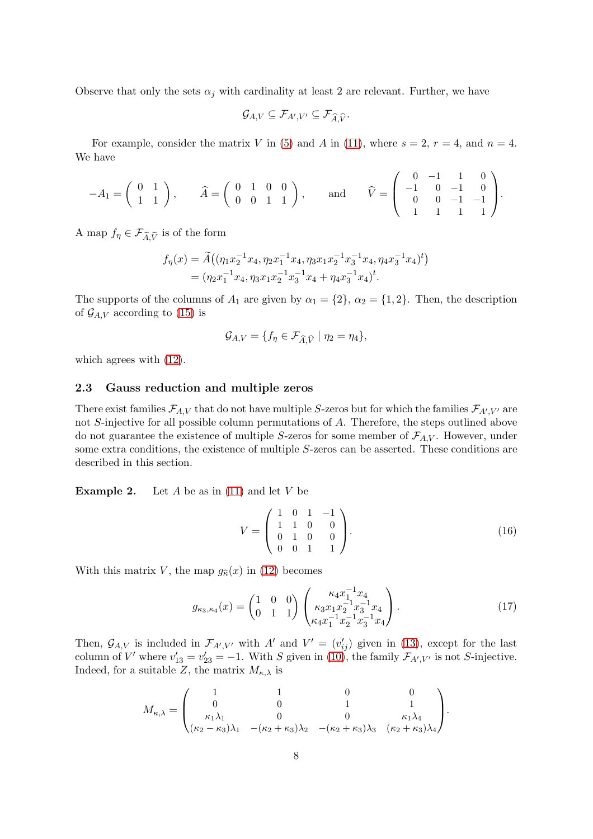Observe that only the sets  $\alpha_i$  with cardinality at least 2 are relevant. Further, we have

$$
\mathcal G_{A,V}\subseteq \mathcal F_{A',V'}\subseteq \mathcal F_{\widehat A,\widehat V}.
$$

For example, consider the matrix V in [\(5\)](#page-3-2) and A in [\(11\)](#page-5-0), where  $s = 2$ ,  $r = 4$ , and  $n = 4$ . We have

$$
-A_1 = \begin{pmatrix} 0 & 1 \\ 1 & 1 \end{pmatrix}, \quad \hat{A} = \begin{pmatrix} 0 & 1 & 0 & 0 \\ 0 & 0 & 1 & 1 \end{pmatrix}, \quad \text{and} \quad \hat{V} = \begin{pmatrix} 0 & -1 & 1 & 0 \\ -1 & 0 & -1 & 0 \\ 0 & 0 & -1 & -1 \\ 1 & 1 & 1 & 1 \end{pmatrix}.
$$

A map  $f_{\eta} \in \mathcal{F}_{\widetilde{A}, \widetilde{V}}$  is of the form

$$
f_{\eta}(x) = \widetilde{A}((\eta_1 x_2^{-1} x_4, \eta_2 x_1^{-1} x_4, \eta_3 x_1 x_2^{-1} x_3^{-1} x_4, \eta_4 x_3^{-1} x_4)^t)
$$
  
=  $(\eta_2 x_1^{-1} x_4, \eta_3 x_1 x_2^{-1} x_3^{-1} x_4 + \eta_4 x_3^{-1} x_4)^t.$ 

The supports of the columns of  $A_1$  are given by  $\alpha_1 = \{2\}$ ,  $\alpha_2 = \{1, 2\}$ . Then, the description of  $\mathcal{G}_{A,V}$  according to [\(15\)](#page-6-0) is

$$
\mathcal{G}_{A,V} = \{ f_{\eta} \in \mathcal{F}_{\widehat{A},\widehat{V}} \mid \eta_2 = \eta_4 \},\
$$

which agrees with [\(12\)](#page-5-1).

## <span id="page-7-0"></span>2.3 Gauss reduction and multiple zeros

There exist families  $\mathcal{F}_{A,V}$  that do not have multiple S-zeros but for which the families  $\mathcal{F}_{A',V'}$  are not S-injective for all possible column permutations of A. Therefore, the steps outlined above do not guarantee the existence of multiple S-zeros for some member of  $\mathcal{F}_{A,V}$ . However, under some extra conditions, the existence of multiple S-zeros can be asserted. These conditions are described in this section.

**Example 2.** Let A be as in [\(11\)](#page-5-0) and let V be

<span id="page-7-1"></span>
$$
V = \begin{pmatrix} 1 & 0 & 1 & -1 \\ 1 & 1 & 0 & 0 \\ 0 & 1 & 0 & 0 \\ 0 & 0 & 1 & 1 \end{pmatrix}.
$$
 (16)

With this matrix V, the map  $g_{\hat{\kappa}}(x)$  in [\(12\)](#page-5-1) becomes

$$
g_{\kappa_3,\kappa_4}(x) = \begin{pmatrix} 1 & 0 & 0 \\ 0 & 1 & 1 \end{pmatrix} \begin{pmatrix} \kappa_4 x_1^{-1} x_4 \\ \kappa_3 x_1 x_2^{-1} x_3^{-1} x_4 \\ \kappa_4 x_1^{-1} x_2^{-1} x_3^{-1} x_4 \end{pmatrix} . \tag{17}
$$

Then,  $\mathcal{G}_{A,V}$  is included in  $\mathcal{F}_{A',V'}$  with A' and  $V'=(v'_{ij})$  given in [\(13\)](#page-5-2), except for the last column of V' where  $v'_{13} = v'_{23} = -1$ . With S given in [\(10\)](#page-5-3), the family  $\mathcal{F}_{A',V'}$  is not S-injective. Indeed, for a suitable Z, the matrix  $M_{\kappa,\lambda}$  is

$$
M_{\kappa,\lambda} = \begin{pmatrix} 1 & 1 & 0 & 0 \\ 0 & 0 & 1 & 1 \\ \kappa_1 \lambda_1 & 0 & 0 & \kappa_1 \lambda_4 \\ (\kappa_2 - \kappa_3)\lambda_1 & -(\kappa_2 + \kappa_3)\lambda_2 & -(\kappa_2 + \kappa_3)\lambda_3 & (\kappa_2 + \kappa_3)\lambda_4 \end{pmatrix}.
$$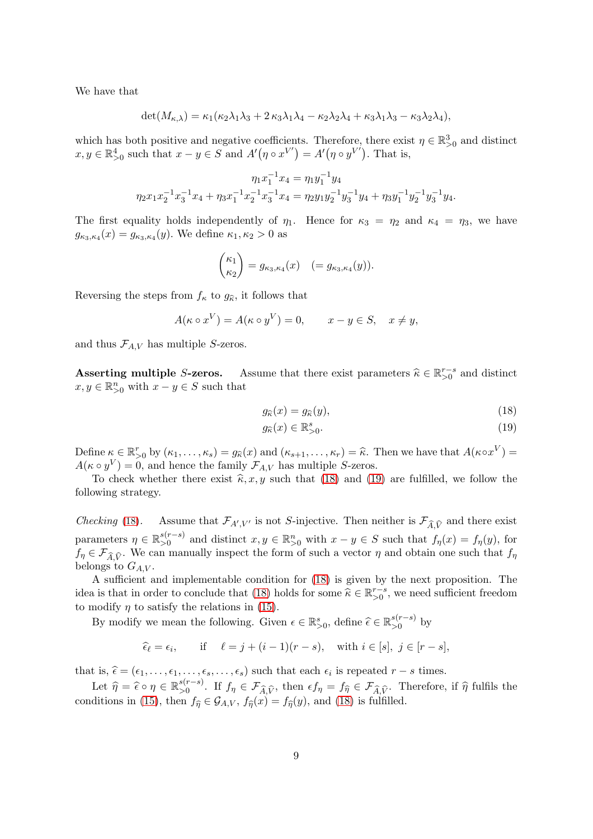We have that

$$
\det(M_{\kappa,\lambda}) = \kappa_1(\kappa_2\lambda_1\lambda_3 + 2\kappa_3\lambda_1\lambda_4 - \kappa_2\lambda_2\lambda_4 + \kappa_3\lambda_1\lambda_3 - \kappa_3\lambda_2\lambda_4),
$$

which has both positive and negative coefficients. Therefore, there exist  $\eta \in \mathbb{R}^3_{>0}$  and distinct  $x, y \in \mathbb{R}^4_{>0}$  such that  $x - y \in S$  and  $A'(\eta \circ x^{V'}) = A'(\eta \circ y^{V'})$ . That is,

$$
\eta_1 x_1^{-1} x_4 = \eta_1 y_1^{-1} y_4
$$

$$
\eta_2 x_1 x_2^{-1} x_3^{-1} x_4 + \eta_3 x_1^{-1} x_2^{-1} x_3^{-1} x_4 = \eta_2 y_1 y_2^{-1} y_3^{-1} y_4 + \eta_3 y_1^{-1} y_2^{-1} y_3^{-1} y_4.
$$

The first equality holds independently of  $\eta_1$ . Hence for  $\kappa_3 = \eta_2$  and  $\kappa_4 = \eta_3$ , we have  $g_{\kappa_3,\kappa_4}(x) = g_{\kappa_3,\kappa_4}(y)$ . We define  $\kappa_1,\kappa_2 > 0$  as

$$
\binom{\kappa_1}{\kappa_2} = g_{\kappa_3,\kappa_4}(x) \quad (= g_{\kappa_3,\kappa_4}(y)).
$$

Reversing the steps from  $f_{\kappa}$  to  $g_{\hat{\kappa}}$ , it follows that

$$
A(\kappa \circ x^V) = A(\kappa \circ y^V) = 0, \qquad x - y \in S, \quad x \neq y,
$$

and thus  $\mathcal{F}_{A,V}$  has multiple S-zeros.

Asserting multiple S-zeros. Assume that there exist parameters  $\hat{\kappa} \in \mathbb{R}_{>0}^{r-s}$  and distinct  $x, y \in \mathbb{R}_{>0}^n$  with  $x - y \in S$  such that

<span id="page-8-1"></span>
$$
g_{\widehat{\kappa}}(x) = g_{\widehat{\kappa}}(y),\tag{18}
$$

<span id="page-8-2"></span>
$$
g_{\widehat{\kappa}}(x) \in \mathbb{R}^s_{>0}.\tag{19}
$$

Define  $\kappa \in \mathbb{R}_{\geq 0}^r$  by  $(\kappa_1, \ldots, \kappa_s) = g_{\widehat{\kappa}}(x)$  and  $(\kappa_{s+1}, \ldots, \kappa_r) = \widehat{\kappa}$ . Then we have that  $A(\kappa \circ x^V) = A(\kappa \circ x^V)$  $A(\kappa \circ y^V) = 0$ , and hence the family  $\mathcal{F}_{A,V}$  has multiple S-zeros.

To check whether there exist  $\hat{\kappa}, x, y$  such that [\(18\)](#page-8-1) and [\(19\)](#page-8-2) are fulfilled, we follow the following strategy.

*Checking* [\(18\)](#page-8-1). Assume that  $\mathcal{F}_{A',V'}$  is not *S*-injective. Then neither is  $\mathcal{F}_{\widehat{A},\widehat{V}}$  and there exist parameters  $\eta \in \mathbb{R}_{>0}^{s(r-s)}$  $s(r-s)$  and distinct  $x, y \in \mathbb{R}_{\geq 0}^n$  with  $x - y \in S$  such that  $f_\eta(x) = f_\eta(y)$ , for  $f_{\eta} \in \mathcal{F}_{\widehat{A}, \widehat{V}}$ . We can manually inspect the form of such a vector  $\eta$  and obtain one such that  $f_{\eta}$ belongs to  $G_{A,V}$ .

A sufficient and implementable condition for [\(18\)](#page-8-1) is given by the next proposition. The idea is that in order to conclude that [\(18\)](#page-8-1) holds for some  $\hat{\kappa} \in \mathbb{R}_{>0}^{r-s}$ , we need sufficient freedom to modify  $\eta$  to satisfy the relations in [\(15\)](#page-6-0).

By modify we mean the following. Given  $\epsilon \in \mathbb{R}^s_{>0}$ , define  $\widehat{\epsilon} \in \mathbb{R}^{s(r-s)}_{>0}$  $\sum_{0}^{s(r-s)}$  by

$$
\widehat{\epsilon}_{\ell} = \epsilon_i
$$
, if  $\ell = j + (i - 1)(r - s)$ , with  $i \in [s], j \in [r - s]$ ,

that is,  $\hat{\epsilon} = (\epsilon_1, \ldots, \epsilon_1, \ldots, \epsilon_s, \ldots, \epsilon_s)$  such that each  $\epsilon_i$  is repeated  $r - s$  times.

<span id="page-8-0"></span>Let  $\widehat{\eta} = \widehat{\epsilon} \circ \eta \in \mathbb{R}_{>0}^{s(r-s)}$  $\mathcal{L}_{>0}^{s(r-s)}$ . If  $f_{\eta} \in \mathcal{F}_{\widehat{A}, \widehat{V}}$ , then  $\epsilon f_{\eta} = f_{\widehat{\eta}} \in \mathcal{F}_{\widehat{A}, \widehat{V}}$ . Therefore, if  $\widehat{\eta}$  fulfils the conditions in [\(15\)](#page-6-0), then  $f_{\hat{\eta}} \in \mathcal{G}_{A,V}$ ,  $f_{\hat{\eta}}(x) = f_{\hat{\eta}}(y)$ , and [\(18\)](#page-8-1) is fulfilled.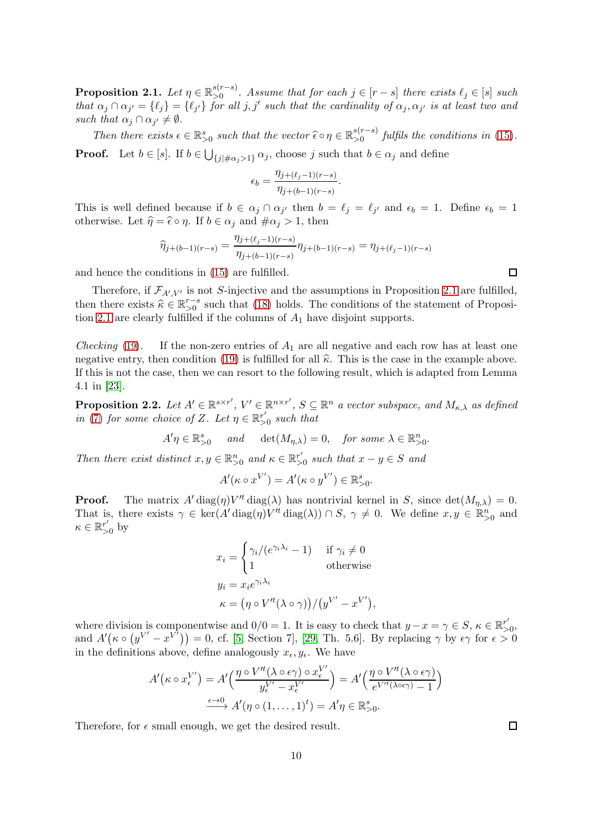Proposition 2.1. Let  $\eta \in \mathbb{R}_{>0}^{s(r-s)}$  $\sum_{0}^{s(r-s)}$ . Assume that for each  $j \in [r-s]$  there exists  $\ell_j \in [s]$  such that  $\alpha_j \cap \alpha_{j'} = \{\ell_j\} = \{\ell_{j'}\}$  for all j, j' such that the cardinality of  $\alpha_j, \alpha_{j'}$  is at least two and such that  $\alpha_j \cap \alpha_{j'} \neq \emptyset$ .

Then there exists  $\epsilon \in \mathbb{R}^s_{>0}$  such that the vector  $\widehat{\epsilon} \circ \eta \in \mathbb{R}^{s(r-s)}_{>0}$  $\sum_{0}^{s(r-s)}$  fulfils the conditions in [\(15\)](#page-6-0).

**Proof.** Let  $b \in [s]$ . If  $b \in \bigcup_{\{j | \#\alpha_j > 1\}} \alpha_j$ , choose j such that  $b \in \alpha_j$  and define

$$
\epsilon_b = \frac{\eta_{j+(\ell_j-1)(r-s)}}{\eta_{j+(b-1)(r-s)}}.
$$

This is well defined because if  $b \in \alpha_j \cap \alpha_{j'}$  then  $b = \ell_j = \ell_{j'}$  and  $\epsilon_b = 1$ . Define  $\epsilon_b = 1$ otherwise. Let  $\hat{\eta} = \hat{\epsilon} \circ \eta$ . If  $b \in \alpha_j$  and  $\#\alpha_j > 1$ , then

$$
\widehat{\eta}_{j+(b-1)(r-s)}=\frac{\eta_{j+(\ell_j-1)(r-s)}}{\eta_{j+(b-1)(r-s)}}\eta_{j+(b-1)(r-s)}=\eta_{j+(\ell_j-1)(r-s)}
$$

and hence the conditions in [\(15\)](#page-6-0) are fulfilled.

Therefore, if  $\mathcal{F}_{A',V'}$  is not S-injective and the assumptions in Proposition [2.1](#page-8-0) are fulfilled, then there exists  $\hat{\kappa} \in \mathbb{R}^{r-s}_{\geq 0}$  such that [\(18\)](#page-8-1) holds. The conditions of the statement of Proposi-tion [2.1](#page-8-0) are clearly fulfilled if the columns of  $A_1$  have disjoint supports.

*Checking* [\(19\)](#page-8-2). If the non-zero entries of  $A_1$  are all negative and each row has at least one negative entry, then condition [\(19\)](#page-8-2) is fulfilled for all  $\hat{\kappa}$ . This is the case in the example above. If this is not the case, then we can resort to the following result, which is adapted from Lemma 4.1 in [\[23\]](#page-18-1).

<span id="page-9-0"></span>**Proposition 2.2.** Let  $A' \in \mathbb{R}^{s \times r'}$ ,  $V' \in \mathbb{R}^{n \times r'}$ ,  $S \subseteq \mathbb{R}^n$  a vector subspace, and  $M_{\kappa,\lambda}$  as defined in [\(7\)](#page-4-2) for some choice of Z. Let  $\eta \in \mathbb{R}_{>0}^{r'}$  such that

$$
A'\eta \in \mathbb{R}_{>0}^s \quad \text{and} \quad \det(M_{\eta,\lambda}) = 0, \quad \text{for some } \lambda \in \mathbb{R}_{>0}^n.
$$

Then there exist distinct  $x, y \in \mathbb{R}^n_{>0}$  and  $\kappa \in \mathbb{R}^{r'}$  $\frac{r'}{r}0$  such that  $x - y \in S$  and

$$
A'(\kappa \circ x^{V'}) = A'(\kappa \circ y^{V'}) \in \mathbb{R}^s_{>0}.
$$

**Proof.** The matrix  $A' \text{diag}(\eta) V'^t \text{diag}(\lambda)$  has nontrivial kernel in S, since  $\det(M_{\eta,\lambda}) = 0$ . That is, there exists  $\gamma \in \text{ker}(A' \text{diag}(\eta) V'^t \text{diag}(\lambda)) \cap S, \gamma \neq 0$ . We define  $x, y \in \mathbb{R}_{>0}^n$  and  $\kappa \in \mathbb{R}_{>0}^{r'}$  by

$$
x_i = \begin{cases} \gamma_i/(e^{\gamma_i \lambda_i} - 1) & \text{if } \gamma_i \neq 0 \\ 1 & \text{otherwise} \end{cases}
$$
  

$$
y_i = x_i e^{\gamma_i \lambda_i}
$$
  

$$
\kappa = (\eta \circ V'^t(\lambda \circ \gamma))/(y^{V'} - x^{V'}),
$$

where division is componentwise and  $0/0 = 1$ . It is easy to check that  $y - x = \gamma \in S$ ,  $\kappa \in \mathbb{R}^{r'}$  $_{>0}^r,$ and  $A'(\kappa \circ (y^{V'} - x^{V'})) = 0$ , cf. [\[5,](#page-17-14) Section 7], [\[29,](#page-18-6) Th. 5.6]. By replacing  $\gamma$  by  $\epsilon \gamma$  for  $\epsilon > 0$ in the definitions above, define analogously  $x_{\epsilon}, y_{\epsilon}$ . We have

$$
A'(\kappa \circ x_{\epsilon}^{V'}) = A' \Big( \frac{\eta \circ V'^{t}(\lambda \circ \epsilon \gamma) \circ x_{\epsilon}^{V'}}{y_{\epsilon}^{V'} - x_{\epsilon}^{V'}} \Big) = A' \Big( \frac{\eta \circ V'^{t}(\lambda \circ \epsilon \gamma)}{e^{V'^{t}(\lambda \circ \epsilon \gamma)} - 1} \Big)
$$

$$
\xrightarrow{\epsilon \to 0} A'(\eta \circ (1, \dots, 1)^{t}) = A'\eta \in \mathbb{R}_{>0}^{s}.
$$

Therefore, for  $\epsilon$  small enough, we get the desired result.

 $\Box$ 

 $\Box$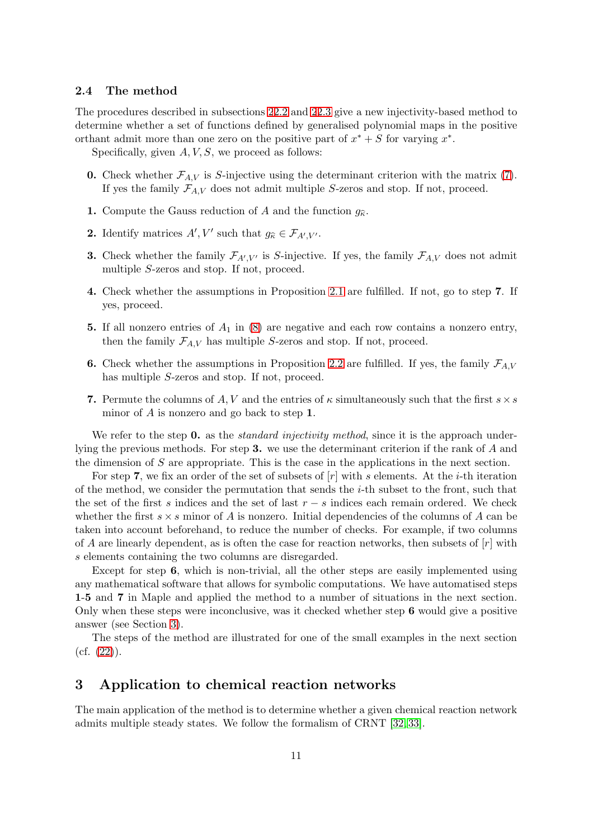### <span id="page-10-1"></span>2.4 The method

The procedures described in subsections [2](#page-2-0)[2.2](#page-4-3) and [2](#page-2-0)[2.3](#page-7-0) give a new injectivity-based method to determine whether a set of functions defined by generalised polynomial maps in the positive orthant admit more than one zero on the positive part of  $x^* + S$  for varying  $x^*$ .

Specifically, given  $A, V, S$ , we proceed as follows:

- **0.** Check whether  $\mathcal{F}_{A,V}$  is S-injective using the determinant criterion with the matrix [\(7\)](#page-4-2). If yes the family  $\mathcal{F}_{A,V}$  does not admit multiple S-zeros and stop. If not, proceed.
- 1. Compute the Gauss reduction of A and the function  $g_{\hat{\kappa}}$ .
- **2.** Identify matrices  $A', V'$  such that  $g_{\widehat{\kappa}} \in \mathcal{F}_{A', V'}$ .
- **3.** Check whether the family  $\mathcal{F}_{A',V'}$  is S-injective. If yes, the family  $\mathcal{F}_{A,V}$  does not admit multiple S-zeros and stop. If not, proceed.
- 4. Check whether the assumptions in Proposition [2.1](#page-8-0) are fulfilled. If not, go to step 7. If yes, proceed.
- 5. If all nonzero entries of  $A_1$  in [\(8\)](#page-4-1) are negative and each row contains a nonzero entry, then the family  $\mathcal{F}_{A,V}$  has multiple S-zeros and stop. If not, proceed.
- 6. Check whether the assumptions in Proposition [2.2](#page-9-0) are fulfilled. If yes, the family  $\mathcal{F}_{A,V}$ has multiple S-zeros and stop. If not, proceed.
- 7. Permute the columns of A, V and the entries of  $\kappa$  simultaneously such that the first  $s \times s$ minor of A is nonzero and go back to step 1.

We refer to the step 0. as the *standard injectivity method*, since it is the approach underlying the previous methods. For step 3. we use the determinant criterion if the rank of A and the dimension of S are appropriate. This is the case in the applications in the next section.

For step 7, we fix an order of the set of subsets of  $[r]$  with s elements. At the *i*-th iteration of the method, we consider the permutation that sends the  $i$ -th subset to the front, such that the set of the first s indices and the set of last  $r - s$  indices each remain ordered. We check whether the first  $s \times s$  minor of A is nonzero. Initial dependencies of the columns of A can be taken into account beforehand, to reduce the number of checks. For example, if two columns of A are linearly dependent, as is often the case for reaction networks, then subsets of  $[r]$  with s elements containing the two columns are disregarded.

Except for step 6, which is non-trivial, all the other steps are easily implemented using any mathematical software that allows for symbolic computations. We have automatised steps 1-5 and 7 in Maple and applied the method to a number of situations in the next section. Only when these steps were inconclusive, was it checked whether step 6 would give a positive answer (see Section [3\)](#page-10-0).

The steps of the method are illustrated for one of the small examples in the next section  $(cf. (22)).$  $(cf. (22)).$  $(cf. (22)).$ 

## <span id="page-10-0"></span>3 Application to chemical reaction networks

The main application of the method is to determine whether a given chemical reaction network admits multiple steady states. We follow the formalism of CRNT [\[32,](#page-18-7) [33\]](#page-18-8).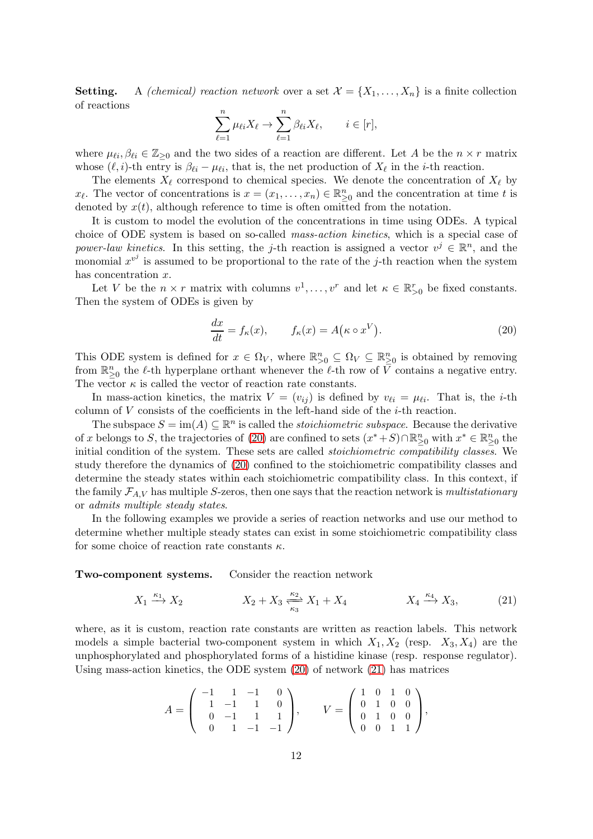**Setting.** A *(chemical) reaction network* over a set  $\mathcal{X} = \{X_1, \ldots, X_n\}$  is a finite collection of reactions

$$
\sum_{\ell=1}^n \mu_{\ell i} X_{\ell} \to \sum_{\ell=1}^n \beta_{\ell i} X_{\ell}, \qquad i \in [r],
$$

where  $\mu_{\ell i}, \beta_{\ell i} \in \mathbb{Z}_{\geq 0}$  and the two sides of a reaction are different. Let A be the  $n \times r$  matrix whose  $(\ell, i)$ -th entry is  $\beta_{\ell i} - \mu_{\ell i}$ , that is, the net production of  $X_{\ell}$  in the *i*-th reaction.

The elements  $X_{\ell}$  correspond to chemical species. We denote the concentration of  $X_{\ell}$  by  $x_{\ell}$ . The vector of concentrations is  $x = (x_1, \ldots, x_n) \in \mathbb{R}_{\geq 0}^n$  and the concentration at time t is denoted by  $x(t)$ , although reference to time is often omitted from the notation.

It is custom to model the evolution of the concentrations in time using ODEs. A typical choice of ODE system is based on so-called mass-action kinetics, which is a special case of power-law kinetics. In this setting, the j-th reaction is assigned a vector  $v^j \in \mathbb{R}^n$ , and the monomial  $x^{v^j}$  is assumed to be proportional to the rate of the j-th reaction when the system has concentration x.

Let V be the  $n \times r$  matrix with columns  $v^1, \ldots, v^r$  and let  $\kappa \in \mathbb{R}_{\geq 0}^r$  be fixed constants. Then the system of ODEs is given by

<span id="page-11-0"></span>
$$
\frac{dx}{dt} = f_{\kappa}(x), \qquad f_{\kappa}(x) = A(\kappa \circ x^V). \tag{20}
$$

This ODE system is defined for  $x \in \Omega_V$ , where  $\mathbb{R}^n_{>0} \subseteq \Omega_V \subseteq \mathbb{R}^n_{\geq 0}$  is obtained by removing from  $\mathbb{R}^n_{\geq 0}$  the  $\ell$ -th hyperplane orthant whenever the  $\ell$ -th row of  $\overline{V}$  contains a negative entry. The vector  $\kappa$  is called the vector of reaction rate constants.

In mass-action kinetics, the matrix  $V = (v_{ij})$  is defined by  $v_{\ell i} = \mu_{\ell i}$ . That is, the *i*-th column of  $V$  consists of the coefficients in the left-hand side of the  $i$ -th reaction.

The subspace  $S = \text{im}(A) \subseteq \mathbb{R}^n$  is called the *stoichiometric subspace*. Because the derivative of x belongs to S, the trajectories of [\(20\)](#page-11-0) are confined to sets  $(x^* + S) \cap \mathbb{R}^n_{\geq 0}$  with  $x^* \in \mathbb{R}^n_{\geq 0}$  the initial condition of the system. These sets are called stoichiometric compatibility classes. We study therefore the dynamics of [\(20\)](#page-11-0) confined to the stoichiometric compatibility classes and determine the steady states within each stoichiometric compatibility class. In this context, if the family  $\mathcal{F}_{A,V}$  has multiple S-zeros, then one says that the reaction network is multistationary or admits multiple steady states.

In the following examples we provide a series of reaction networks and use our method to determine whether multiple steady states can exist in some stoichiometric compatibility class for some choice of reaction rate constants  $\kappa$ .

Two-component systems. Consider the reaction network

$$
X_1 \xrightarrow{\kappa_1} X_2 \qquad \qquad X_2 + X_3 \xrightarrow[\kappa_3]{\kappa_2} X_1 + X_4 \qquad \qquad X_4 \xrightarrow{\kappa_4} X_3,\tag{21}
$$

where, as it is custom, reaction rate constants are written as reaction labels. This network models a simple bacterial two-component system in which  $X_1, X_2$  (resp.  $X_3, X_4$ ) are the unphosphorylated and phosphorylated forms of a histidine kinase (resp. response regulator). Using mass-action kinetics, the ODE system [\(20\)](#page-11-0) of network [\(21\)](#page-11-1) has matrices

<span id="page-11-1"></span>
$$
A = \begin{pmatrix} -1 & 1 & -1 & 0 \\ 1 & -1 & 1 & 0 \\ 0 & -1 & 1 & 1 \\ 0 & 1 & -1 & -1 \end{pmatrix}, \qquad V = \begin{pmatrix} 1 & 0 & 1 & 0 \\ 0 & 1 & 0 & 0 \\ 0 & 1 & 0 & 0 \\ 0 & 0 & 1 & 1 \end{pmatrix},
$$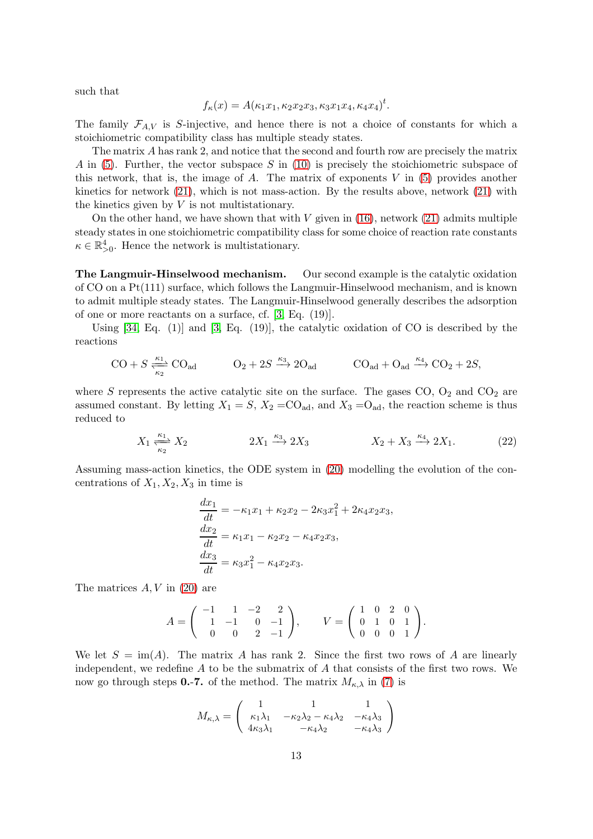such that

$$
f_{\kappa}(x) = A(\kappa_1 x_1, \kappa_2 x_2 x_3, \kappa_3 x_1 x_4, \kappa_4 x_4)^t.
$$

The family  $\mathcal{F}_{A,V}$  is S-injective, and hence there is not a choice of constants for which a stoichiometric compatibility class has multiple steady states.

The matrix A has rank 2, and notice that the second and fourth row are precisely the matrix A in  $(5)$ . Further, the vector subspace S in  $(10)$  is precisely the stoichiometric subspace of this network, that is, the image of A. The matrix of exponents  $V$  in [\(5\)](#page-3-2) provides another kinetics for network [\(21\)](#page-11-1), which is not mass-action. By the results above, network [\(21\)](#page-11-1) with the kinetics given by  $V$  is not multistationary.

On the other hand, we have shown that with  $V$  given in [\(16\)](#page-7-1), network [\(21\)](#page-11-1) admits multiple steady states in one stoichiometric compatibility class for some choice of reaction rate constants  $\kappa \in \mathbb{R}_{>0}^4$ . Hence the network is multistationary.

The Langmuir-Hinselwood mechanism. Our second example is the catalytic oxidation of CO on a Pt(111) surface, which follows the Langmuir-Hinselwood mechanism, and is known to admit multiple steady states. The Langmuir-Hinselwood generally describes the adsorption of one or more reactants on a surface, cf. [\[3,](#page-17-2) Eq. (19)].

Using  $[34, Eq. (1)]$  and  $[3, Eq. (19)]$ , the catalytic oxidation of CO is described by the reactions

$$
CO + S \frac{\kappa_1}{\kappa_2} \text{CO}_{ad} \qquad \qquad O_2 + 2S \xrightarrow{\kappa_3} 2\text{O}_{ad} \qquad \qquad \text{CO}_{ad} + \text{O}_{ad} \xrightarrow{\kappa_4} \text{CO}_2 + 2S,
$$

where  $S$  represents the active catalytic site on the surface. The gases  $CO$ ,  $O_2$  and  $CO_2$  are assumed constant. By letting  $X_1 = S$ ,  $X_2 = CO_{ad}$ , and  $X_3 = O_{ad}$ , the reaction scheme is thus reduced to

$$
X_1 \xrightarrow[k_2]{\kappa_1} X_2 \qquad \qquad 2X_1 \xrightarrow{\kappa_3} 2X_3 \qquad \qquad X_2 + X_3 \xrightarrow{\kappa_4} 2X_1. \tag{22}
$$

Assuming mass-action kinetics, the ODE system in [\(20\)](#page-11-0) modelling the evolution of the concentrations of  $X_1, X_2, X_3$  in time is

<span id="page-12-0"></span>
$$
\frac{dx_1}{dt} = -\kappa_1 x_1 + \kappa_2 x_2 - 2\kappa_3 x_1^2 + 2\kappa_4 x_2 x_3,\n\frac{dx_2}{dt} = \kappa_1 x_1 - \kappa_2 x_2 - \kappa_4 x_2 x_3,\n\frac{dx_3}{dt} = \kappa_3 x_1^2 - \kappa_4 x_2 x_3.
$$

The matrices  $A, V$  in [\(20\)](#page-11-0) are

$$
A = \begin{pmatrix} -1 & 1 & -2 & 2 \\ 1 & -1 & 0 & -1 \\ 0 & 0 & 2 & -1 \end{pmatrix}, \qquad V = \begin{pmatrix} 1 & 0 & 2 & 0 \\ 0 & 1 & 0 & 1 \\ 0 & 0 & 0 & 1 \end{pmatrix}.
$$

We let  $S = \text{im}(A)$ . The matrix A has rank 2. Since the first two rows of A are linearly independent, we redefine  $A$  to be the submatrix of  $A$  that consists of the first two rows. We now go through steps 0.-7. of the method. The matrix  $M_{\kappa,\lambda}$  in [\(7\)](#page-4-2) is

$$
M_{\kappa,\lambda} = \begin{pmatrix} 1 & 1 & 1 \\ \kappa_1 \lambda_1 & -\kappa_2 \lambda_2 - \kappa_4 \lambda_2 & -\kappa_4 \lambda_3 \\ 4\kappa_3 \lambda_1 & -\kappa_4 \lambda_2 & -\kappa_4 \lambda_3 \end{pmatrix}
$$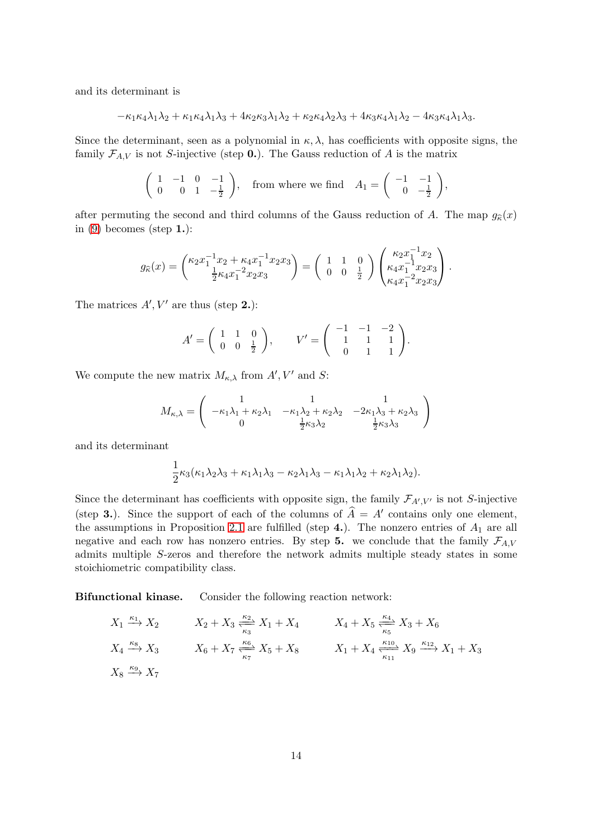and its determinant is

$$
-\kappa_1\kappa_4\lambda_1\lambda_2+\kappa_1\kappa_4\lambda_1\lambda_3+4\kappa_2\kappa_3\lambda_1\lambda_2+\kappa_2\kappa_4\lambda_2\lambda_3+4\kappa_3\kappa_4\lambda_1\lambda_2-4\kappa_3\kappa_4\lambda_1\lambda_3.
$$

Since the determinant, seen as a polynomial in  $\kappa, \lambda$ , has coefficients with opposite signs, the family  $\mathcal{F}_{A,V}$  is not S-injective (step 0.). The Gauss reduction of A is the matrix

$$
\left(\begin{array}{ccc} 1 & -1 & 0 & -1 \\ 0 & 0 & 1 & -\frac{1}{2} \end{array}\right), \quad \text{from where we find} \quad A_1 = \left(\begin{array}{ccc} -1 & -1 \\ 0 & -\frac{1}{2} \end{array}\right),
$$

after permuting the second and third columns of the Gauss reduction of A. The map  $g_{\hat{\kappa}}(x)$ in  $(9)$  becomes (step 1.):

$$
g_{\widehat{\kappa}}(x) = \begin{pmatrix} \kappa_2 x_1^{-1} x_2 + \kappa_4 x_1^{-1} x_2 x_3 \\ \frac{1}{2} \kappa_4 x_1^{-2} x_2 x_3 \end{pmatrix} = \begin{pmatrix} 1 & 1 & 0 \\ 0 & 0 & \frac{1}{2} \end{pmatrix} \begin{pmatrix} \kappa_2 x_1^{-1} x_2 \\ \kappa_4 x_1^{-1} x_2 x_3 \\ \kappa_4 x_1^{-2} x_2 x_3 \end{pmatrix}.
$$

The matrices  $A', V'$  are thus (step 2.):

$$
A' = \begin{pmatrix} 1 & 1 & 0 \\ 0 & 0 & \frac{1}{2} \end{pmatrix}, \qquad V' = \begin{pmatrix} -1 & -1 & -2 \\ 1 & 1 & 1 \\ 0 & 1 & 1 \end{pmatrix}.
$$

We compute the new matrix  $M_{\kappa,\lambda}$  from  $A', V'$  and  $S$ :

$$
M_{\kappa,\lambda} = \begin{pmatrix} 1 & 1 & 1 \\ -\kappa_1 \lambda_1 + \kappa_2 \lambda_1 & -\kappa_1 \lambda_2 + \kappa_2 \lambda_2 & -2\kappa_1 \lambda_3 + \kappa_2 \lambda_3 \\ 0 & \frac{1}{2} \kappa_3 \lambda_2 & \frac{1}{2} \kappa_3 \lambda_3 \end{pmatrix}
$$

and its determinant

$$
\frac{1}{2}\kappa_3(\kappa_1\lambda_2\lambda_3 + \kappa_1\lambda_1\lambda_3 - \kappa_2\lambda_1\lambda_3 - \kappa_1\lambda_1\lambda_2 + \kappa_2\lambda_1\lambda_2).
$$

Since the determinant has coefficients with opposite sign, the family  $\mathcal{F}_{A',V'}$  is not S-injective (step 3.). Since the support of each of the columns of  $\hat{A} = A'$  contains only one element, the assumptions in Proposition [2.1](#page-8-0) are fulfilled (step 4.). The nonzero entries of  $A_1$  are all negative and each row has nonzero entries. By step 5. we conclude that the family  $\mathcal{F}_{A,V}$ admits multiple S-zeros and therefore the network admits multiple steady states in some stoichiometric compatibility class.

Bifunctional kinase. Consider the following reaction network:

$$
X_1 \xrightarrow{\kappa_1} X_2 \qquad X_2 + X_3 \xrightarrow[\kappa_3]{\kappa_2} X_1 + X_4 \qquad X_4 + X_5 \xrightarrow[\kappa_5]{\kappa_4} X_3 + X_6
$$
  

$$
X_4 \xrightarrow{\kappa_8} X_3 \qquad X_6 + X_7 \xrightarrow[\kappa_7]{\kappa_6} X_5 + X_8 \qquad X_1 + X_4 \xrightarrow[\kappa_{11}]{\kappa_{10}} X_9 \xrightarrow{\kappa_{12}} X_1 + X_3
$$
  

$$
X_8 \xrightarrow{\kappa_9} X_7
$$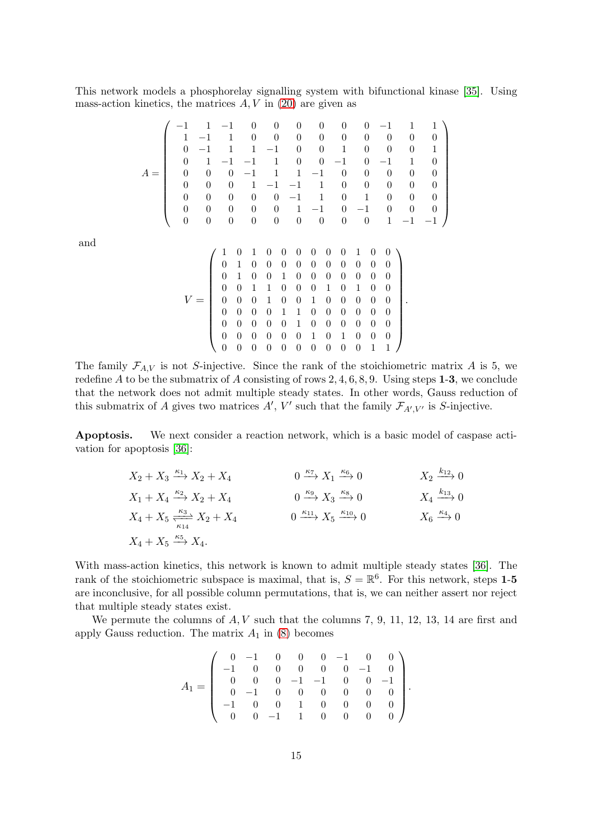This network models a phosphorelay signalling system with bifunctional kinase [\[35\]](#page-18-10). Using mass-action kinetics, the matrices  $A, V$  in [\(20\)](#page-11-0) are given as

$$
A = \left(\begin{array}{rrrrrrrrrrrr} -1 & 1 & -1 & 0 & 0 & 0 & 0 & 0 & 0 & 0 & -1 & 1 & 1 \\ 1 & -1 & 1 & 0 & 0 & 0 & 0 & 0 & 0 & 0 & 0 & 0 \\ 0 & -1 & 1 & 1 & -1 & 0 & 0 & 1 & 0 & 0 & 0 & 1 \\ 0 & 1 & -1 & -1 & 1 & 0 & 0 & -1 & 0 & -1 & 1 & 0 \\ 0 & 0 & 0 & -1 & 1 & 1 & -1 & 0 & 0 & 0 & 0 & 0 \\ 0 & 0 & 0 & 1 & -1 & -1 & 1 & 0 & 0 & 0 & 0 & 0 \\ 0 & 0 & 0 & 0 & 0 & 1 & -1 & 0 & -1 & 0 & 0 & 0 \\ 0 & 0 & 0 & 0 & 0 & 0 & 0 & 0 & 0 & 1 & -1 & -1 \end{array}\right)
$$
\n
$$
V = \left(\begin{array}{rrrrrrrrrr} 1 & 0 & 1 & 0 & 0 & 0 & 0 & 0 & 1 & 0 & 0 \\ 0 & 1 & 0 & 1 & 0 & 0 & 0 & 0 & 0 & 0 & 0 & 0 \\ 0 & 1 & 0 & 0 & 0 & 0 & 0 & 0 & 0 & 0 & 0 & 0 \\ 0 & 0 & 1 & 1 & 0 & 0 & 0 & 0 & 0 & 0 & 0 & 0 \\ 0 & 0 & 0 & 1 & 0 & 0 & 0 & 1 & 0 & 1 & 0 & 0 \\ 0 & 0 & 0 & 0 & 1 & 1 & 0 & 0 & 0 & 0 & 0 & 0 \\ 0 & 0 & 0 & 0 & 1 & 0 & 0 & 0 & 0 & 0 & 0 & 0 \\ 0 & 0 & 0 & 0 & 0 & 1 & 0 & 1 & 0 & 0 & 0 & 0 \\ 0 & 0 & 0 & 0 & 0 & 0 & 0 & 0 & 0 & 1 & 1 \end{array}\right).
$$

and

The family  $\mathcal{F}_{A,V}$  is not S-injective. Since the rank of the stoichiometric matrix A is 5, we redefine A to be the submatrix of A consisting of rows  $2, 4, 6, 8, 9$ . Using steps **1-3**, we conclude that the network does not admit multiple steady states. In other words, Gauss reduction of this submatrix of A gives two matrices  $A'$ , V' such that the family  $\mathcal{F}_{A',V'}$  is S-injective.

Apoptosis. We next consider a reaction network, which is a basic model of caspase activation for apoptosis [\[36\]](#page-18-11):

| $X_2 + X_3 \xrightarrow{\kappa_1} X_2 + X_4$                       | $0 \xrightarrow{\kappa_7} X_1 \xrightarrow{\kappa_6} 0$       | $X_2 \xrightarrow{k_{12}} 0$                 |
|--------------------------------------------------------------------|---------------------------------------------------------------|----------------------------------------------|
| $X_1 + X_4 \xrightarrow{\kappa_2} X_2 + X_4$                       | $0 \xrightarrow{\kappa_9} X_3 \xrightarrow{\kappa_8} 0$       | $X_4 \xrightarrow{k_{13}} 0$                 |
| $X_4 + X_5 \xrightarrow[{\kappa_3]{\kappa_3}]{\kappa_4} X_2 + X_4$ | $0 \xrightarrow{\kappa_{11}} X_5 \xrightarrow{\kappa_{10}} 0$ | $X_6 \stackrel{\kappa_4}{\longrightarrow} 0$ |
| $X_4 + X_5 \xrightarrow{\kappa_5} X_4.$                            |                                                               |                                              |

With mass-action kinetics, this network is known to admit multiple steady states [\[36\]](#page-18-11). The rank of the stoichiometric subspace is maximal, that is,  $S = \mathbb{R}^6$ . For this network, steps 1-5 are inconclusive, for all possible column permutations, that is, we can neither assert nor reject that multiple steady states exist.

We permute the columns of  $A, V$  such that the columns 7, 9, 11, 12, 13, 14 are first and apply Gauss reduction. The matrix  $A_1$  in [\(8\)](#page-4-1) becomes

$$
A_1=\left(\begin{array}{rrrrrrrr}0&-1&0&0&0&-1&0&0\\-1&0&0&0&0&0&-1&0\\0&0&0&-1&-1&0&0&-1\\0&-1&0&0&0&0&0&0\\-1&0&0&1&0&0&0&0\\0&0&-1&1&0&0&0&0\end{array}\right)
$$

.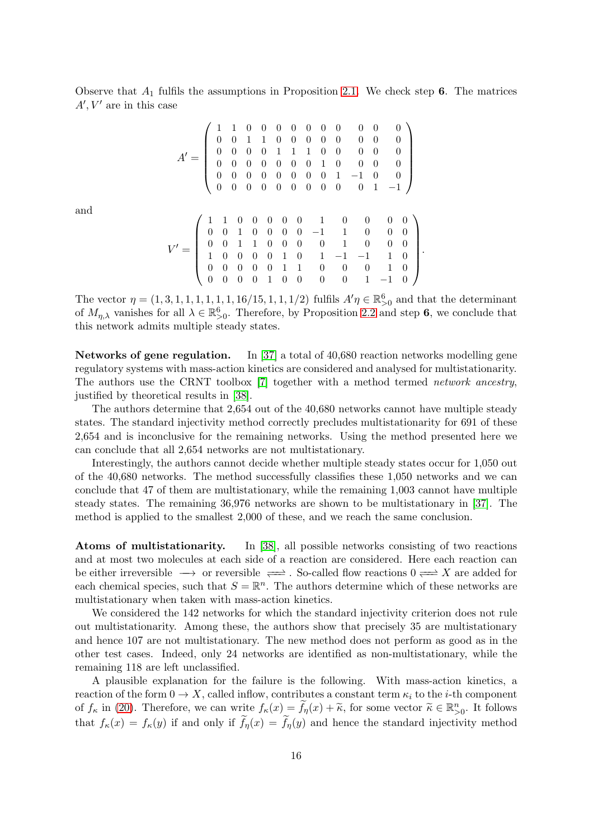Observe that  $A_1$  fulfils the assumptions in Proposition [2.1.](#page-8-0) We check step 6. The matrices  $A', V'$  are in this case

A ′ = 1 1 0 0 0 0 0 0 0 0 0 0 0 0 1 1 0 0 0 0 0 0 0 0 0 0 0 0 1 1 1 0 0 0 0 0 0 0 0 0 0 0 0 1 0 0 0 0 0 0 0 0 0 0 0 0 1 −1 0 0 0 0 0 0 0 0 0 0 0 0 1 −1 

and

$$
V'=\left(\begin{array}{cccccccccc} 1 & 1 & 0 & 0 & 0 & 0 & 0 & 1 & 0 & 0 & 0 & 0 \\ 0 & 0 & 1 & 0 & 0 & 0 & 0 & -1 & 1 & 0 & 0 & 0 \\ 0 & 0 & 1 & 1 & 0 & 0 & 0 & 0 & 1 & 0 & 0 & 0 \\ 1 & 0 & 0 & 0 & 0 & 1 & 0 & 1 & -1 & -1 & 1 & 0 \\ 0 & 0 & 0 & 0 & 0 & 1 & 1 & 0 & 0 & 0 & 1 & 0 \\ 0 & 0 & 0 & 0 & 1 & 0 & 0 & 0 & 0 & 1 & -1 & 0 \end{array}\right)
$$

.

The vector  $\eta = (1, 3, 1, 1, 1, 1, 1, 1, 16/15, 1, 1, 1/2)$  fulfils  $A'\eta \in \mathbb{R}^6_{>0}$  and that the determinant of  $M_{\eta,\lambda}$  vanishes for all  $\lambda \in \mathbb{R}_{>0}^6$ . Therefore, by Proposition [2.2](#page-9-0) and step 6, we conclude that this network admits multiple steady states.

Networks of gene regulation. In [\[37\]](#page-18-12) a total of 40,680 reaction networks modelling gene regulatory systems with mass-action kinetics are considered and analysed for multistationarity. The authors use the CRNT toolbox [\[7\]](#page-17-15) together with a method termed network ancestry, justified by theoretical results in [\[38\]](#page-18-13).

The authors determine that 2,654 out of the 40,680 networks cannot have multiple steady states. The standard injectivity method correctly precludes multistationarity for 691 of these 2,654 and is inconclusive for the remaining networks. Using the method presented here we can conclude that all 2,654 networks are not multistationary.

Interestingly, the authors cannot decide whether multiple steady states occur for 1,050 out of the 40,680 networks. The method successfully classifies these 1,050 networks and we can conclude that 47 of them are multistationary, while the remaining 1,003 cannot have multiple steady states. The remaining 36,976 networks are shown to be multistationary in [\[37\]](#page-18-12). The method is applied to the smallest 2,000 of these, and we reach the same conclusion.

Atoms of multistationarity. In [\[38\]](#page-18-13), all possible networks consisting of two reactions and at most two molecules at each side of a reaction are considered. Here each reaction can be either irreversible  $\longrightarrow$  or reversible  $\rightleftharpoons$  . So-called flow reactions  $0 \rightleftharpoons X$  are added for each chemical species, such that  $S = \mathbb{R}^n$ . The authors determine which of these networks are multistationary when taken with mass-action kinetics.

We considered the 142 networks for which the standard injectivity criterion does not rule out multistationarity. Among these, the authors show that precisely 35 are multistationary and hence 107 are not multistationary. The new method does not perform as good as in the other test cases. Indeed, only 24 networks are identified as non-multistationary, while the remaining 118 are left unclassified.

A plausible explanation for the failure is the following. With mass-action kinetics, a reaction of the form  $0 \to X$ , called inflow, contributes a constant term  $\kappa_i$  to the *i*-th component of  $f_{\kappa}$  in [\(20\)](#page-11-0). Therefore, we can write  $f_{\kappa}(x) = \tilde{f}_{\eta}(x) + \tilde{\kappa}$ , for some vector  $\tilde{\kappa} \in \mathbb{R}_{>0}^n$ . It follows that  $f_{\kappa}(x) = f_{\kappa}(y)$  if and only if  $f_{\eta}(x) = f_{\eta}(y)$  and hence the standard injectivity method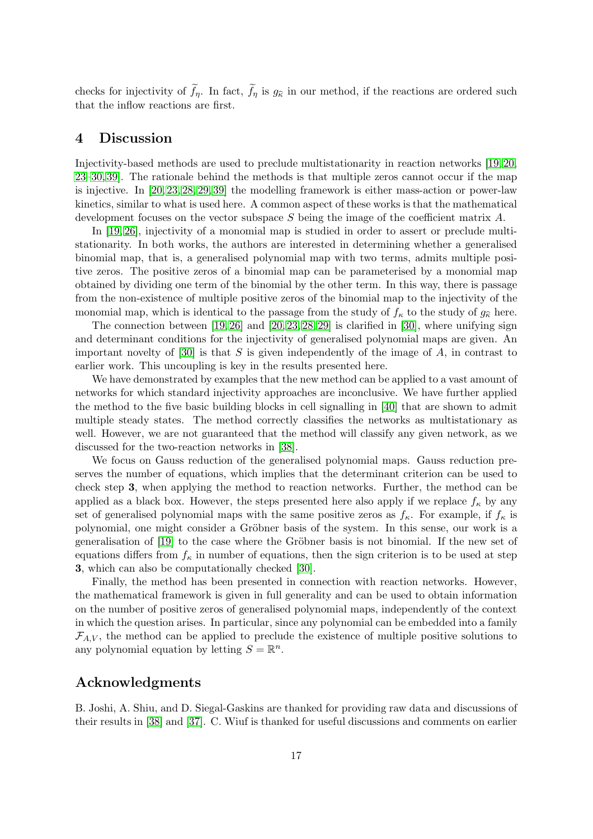checks for injectivity of  $f_{\eta}$ . In fact,  $f_{\eta}$  is  $g_{\hat{\kappa}}$  in our method, if the reactions are ordered such that the inflow reactions are first.

## 4 Discussion

Injectivity-based methods are used to preclude multistationarity in reaction networks [\[19,](#page-17-12) [20,](#page-17-13) [23–](#page-18-1)[30,](#page-18-5) [39\]](#page-18-14). The rationale behind the methods is that multiple zeros cannot occur if the map is injective. In [\[20,](#page-17-13) [23,](#page-18-1) [28,](#page-18-3) [29,](#page-18-6) [39\]](#page-18-14) the modelling framework is either mass-action or power-law kinetics, similar to what is used here. A common aspect of these works is that the mathematical development focuses on the vector subspace S being the image of the coefficient matrix A.

In [\[19,](#page-17-12) [26\]](#page-18-15), injectivity of a monomial map is studied in order to assert or preclude multistationarity. In both works, the authors are interested in determining whether a generalised binomial map, that is, a generalised polynomial map with two terms, admits multiple positive zeros. The positive zeros of a binomial map can be parameterised by a monomial map obtained by dividing one term of the binomial by the other term. In this way, there is passage from the non-existence of multiple positive zeros of the binomial map to the injectivity of the monomial map, which is identical to the passage from the study of  $f_{\kappa}$  to the study of  $g_{\hat{\kappa}}$  here.

The connection between  $[19, 26]$  $[19, 26]$  and  $[20, 23, 28, 29]$  $[20, 23, 28, 29]$  $[20, 23, 28, 29]$  $[20, 23, 28, 29]$  is clarified in  $[30]$ , where unifying sign and determinant conditions for the injectivity of generalised polynomial maps are given. An important novelty of  $[30]$  is that S is given independently of the image of A, in contrast to earlier work. This uncoupling is key in the results presented here.

We have demonstrated by examples that the new method can be applied to a vast amount of networks for which standard injectivity approaches are inconclusive. We have further applied the method to the five basic building blocks in cell signalling in [\[40\]](#page-18-16) that are shown to admit multiple steady states. The method correctly classifies the networks as multistationary as well. However, we are not guaranteed that the method will classify any given network, as we discussed for the two-reaction networks in [\[38\]](#page-18-13).

We focus on Gauss reduction of the generalised polynomial maps. Gauss reduction preserves the number of equations, which implies that the determinant criterion can be used to check step 3, when applying the method to reaction networks. Further, the method can be applied as a black box. However, the steps presented here also apply if we replace  $f_{\kappa}$  by any set of generalised polynomial maps with the same positive zeros as  $f_{\kappa}$ . For example, if  $f_{\kappa}$  is polynomial, one might consider a Gröbner basis of the system. In this sense, our work is a generalisation of [\[19\]](#page-17-12) to the case where the Gröbner basis is not binomial. If the new set of equations differs from  $f_{\kappa}$  in number of equations, then the sign criterion is to be used at step 3, which can also be computationally checked [\[30\]](#page-18-5).

Finally, the method has been presented in connection with reaction networks. However, the mathematical framework is given in full generality and can be used to obtain information on the number of positive zeros of generalised polynomial maps, independently of the context in which the question arises. In particular, since any polynomial can be embedded into a family  $\mathcal{F}_{A,V}$ , the method can be applied to preclude the existence of multiple positive solutions to any polynomial equation by letting  $S = \mathbb{R}^n$ .

## Acknowledgments

B. Joshi, A. Shiu, and D. Siegal-Gaskins are thanked for providing raw data and discussions of their results in [\[38\]](#page-18-13) and [\[37\]](#page-18-12). C. Wiuf is thanked for useful discussions and comments on earlier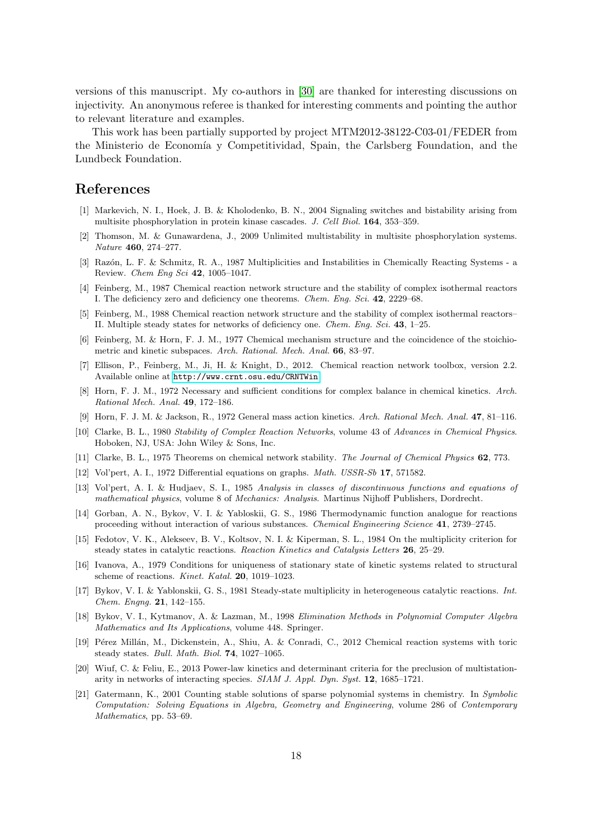versions of this manuscript. My co-authors in [\[30\]](#page-18-5) are thanked for interesting discussions on injectivity. An anonymous referee is thanked for interesting comments and pointing the author to relevant literature and examples.

This work has been partially supported by project MTM2012-38122-C03-01/FEDER from the Ministerio de Economía y Competitividad, Spain, the Carlsberg Foundation, and the Lundbeck Foundation.

# <span id="page-17-0"></span>References

- [1] Markevich, N. I., Hoek, J. B. & Kholodenko, B. N., 2004 Signaling switches and bistability arising from multisite phosphorylation in protein kinase cascades. *J. Cell Biol.* 164, 353–359.
- <span id="page-17-1"></span>[2] Thomson, M. & Gunawardena, J., 2009 Unlimited multistability in multisite phosphorylation systems. *Nature* 460, 274–277.
- <span id="page-17-2"></span>[3] Raz´on, L. F. & Schmitz, R. A., 1987 Multiplicities and Instabilities in Chemically Reacting Systems - a Review. *Chem Eng Sci* 42, 1005–1047.
- <span id="page-17-3"></span>[4] Feinberg, M., 1987 Chemical reaction network structure and the stability of complex isothermal reactors I. The deficiency zero and deficiency one theorems. *Chem. Eng. Sci.* 42, 2229–68.
- <span id="page-17-14"></span>[5] Feinberg, M., 1988 Chemical reaction network structure and the stability of complex isothermal reactors– II. Multiple steady states for networks of deficiency one. *Chem. Eng. Sci.* 43, 1–25.
- [6] Feinberg, M. & Horn, F. J. M., 1977 Chemical mechanism structure and the coincidence of the stoichiometric and kinetic subspaces. *Arch. Rational. Mech. Anal.* 66, 83–97.
- <span id="page-17-15"></span>[7] Ellison, P., Feinberg, M., Ji, H. & Knight, D., 2012. Chemical reaction network toolbox, version 2.2. Available online at <http://www.crnt.osu.edu/CRNTWin>.
- [8] Horn, F. J. M., 1972 Necessary and sufficient conditions for complex balance in chemical kinetics. *Arch. Rational Mech. Anal.* 49, 172–186.
- <span id="page-17-5"></span><span id="page-17-4"></span>[9] Horn, F. J. M. & Jackson, R., 1972 General mass action kinetics. *Arch. Rational Mech. Anal.* 47, 81–116.
- [10] Clarke, B. L., 1980 *Stability of Complex Reaction Networks*, volume 43 of *Advances in Chemical Physics*. Hoboken, NJ, USA: John Wiley & Sons, Inc.
- <span id="page-17-7"></span><span id="page-17-6"></span>[11] Clarke, B. L., 1975 Theorems on chemical network stability. *The Journal of Chemical Physics* 62, 773.
- <span id="page-17-8"></span>[12] Vol'pert, A. I., 1972 Differential equations on graphs. *Math. USSR-Sb* 17, 571582.
- [13] Vol'pert, A. I. & Hudjaev, S. I., 1985 *Analysis in classes of discontinuous functions and equations of mathematical physics*, volume 8 of *Mechanics: Analysis*. Martinus Nijhoff Publishers, Dordrecht.
- <span id="page-17-9"></span>[14] Gorban, A. N., Bykov, V. I. & Yabloskii, G. S., 1986 Thermodynamic function analogue for reactions proceeding without interaction of various substances. *Chemical Engineering Science* 41, 2739–2745.
- [15] Fedotov, V. K., Alekseev, B. V., Koltsov, N. I. & Kiperman, S. L., 1984 On the multiplicity criterion for steady states in catalytic reactions. *Reaction Kinetics and Catalysis Letters* 26, 25–29.
- [16] Ivanova, A., 1979 Conditions for uniqueness of stationary state of kinetic systems related to structural scheme of reactions. *Kinet. Katal.* 20, 1019–1023.
- <span id="page-17-10"></span>[17] Bykov, V. I. & Yablonskii, G. S., 1981 Steady-state multiplicity in heterogeneous catalytic reactions. *Int. Chem. Engng.* 21, 142–155.
- <span id="page-17-11"></span>[18] Bykov, V. I., Kytmanov, A. & Lazman, M., 1998 *Elimination Methods in Polynomial Computer Algebra Mathematics and Its Applications*, volume 448. Springer.
- <span id="page-17-12"></span>[19] Pérez Millán, M., Dickenstein, A., Shiu, A. & Conradi, C., 2012 Chemical reaction systems with toric steady states. *Bull. Math. Biol.* 74, 1027–1065.
- <span id="page-17-13"></span>[20] Wiuf, C. & Feliu, E., 2013 Power-law kinetics and determinant criteria for the preclusion of multistationarity in networks of interacting species. *SIAM J. Appl. Dyn. Syst.* 12, 1685–1721.
- [21] Gatermann, K., 2001 Counting stable solutions of sparse polynomial systems in chemistry. In *Symbolic Computation: Solving Equations in Algebra, Geometry and Engineering*, volume 286 of *Contemporary Mathematics*, pp. 53–69.